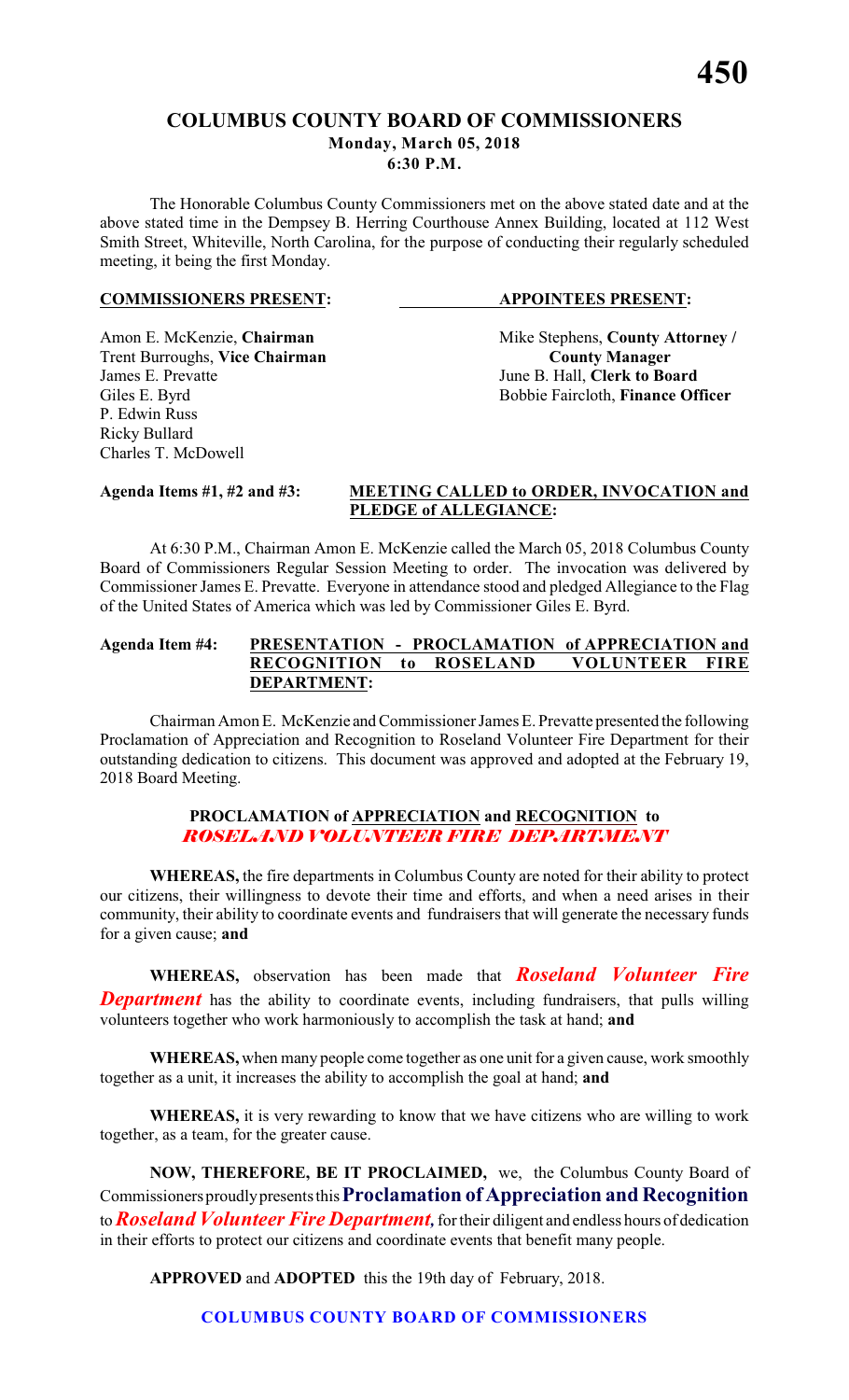# **COLUMBUS COUNTY BOARD OF COMMISSIONERS Monday, March 05, 2018 6:30 P.M.**

The Honorable Columbus County Commissioners met on the above stated date and at the above stated time in the Dempsey B. Herring Courthouse Annex Building, located at 112 West Smith Street, Whiteville, North Carolina, for the purpose of conducting their regularly scheduled meeting, it being the first Monday.

#### **COMMISSIONERS PRESENT: APPOINTEES PRESENT:**

**Trent Burroughs, Vice Chairman**<br>James E. Prevatte P. Edwin Russ Ricky Bullard Charles T. McDowell

Amon E. McKenzie, **Chairman** Mike Stephens, **County Attorney** / **Trent Burroughs, Vice Chairman County Manager** June B. Hall, **Clerk to Board** Giles E. Byrd **Bobbie Faircloth**, **Finance Officer** 

# **Agenda Items #1, #2 and #3: MEETING CALLED to ORDER, INVOCATION and PLEDGE of ALLEGIANCE:**

At 6:30 P.M., Chairman Amon E. McKenzie called the March 05, 2018 Columbus County Board of Commissioners Regular Session Meeting to order. The invocation was delivered by Commissioner James E. Prevatte. Everyone in attendance stood and pledged Allegiance to the Flag of the United States of America which was led by Commissioner Giles E. Byrd.

# **Agenda Item #4: PRESENTATION - PROCLAMATION of APPRECIATION and RECOGNITION to ROSELAND VOLUNTEER FIRE DEPARTMENT:**

Chairman Amon E. McKenzie and Commissioner James E. Prevatte presented the following Proclamation of Appreciation and Recognition to Roseland Volunteer Fire Department for their outstanding dedication to citizens. This document was approved and adopted at the February 19, 2018 Board Meeting.

# **PROCLAMATION of APPRECIATION and RECOGNITION to** *ROSELAND VOLUNTEER FIRE DEPARTMENT*

**WHEREAS,** the fire departments in Columbus County are noted for their ability to protect our citizens, their willingness to devote their time and efforts, and when a need arises in their community, their ability to coordinate events and fundraisers that will generate the necessary funds for a given cause; **and**

**WHEREAS,** observation has been made that *Roseland Volunteer Fire* **Department** has the ability to coordinate events, including fundraisers, that pulls willing volunteers together who work harmoniously to accomplish the task at hand; **and**

**WHEREAS,** when many people come together as one unit for a given cause, work smoothly together as a unit, it increases the ability to accomplish the goal at hand; **and**

**WHEREAS,** it is very rewarding to know that we have citizens who are willing to work together, as a team, for the greater cause.

**NOW, THEREFORE, BE IT PROCLAIMED,** we, the Columbus County Board of Commissioners proudly presents this **Proclamation of Appreciation and Recognition** to *Roseland Volunteer Fire Department,*for their diligent and endless hours of dedication in their efforts to protect our citizens and coordinate events that benefit many people.

**APPROVED** and **ADOPTED** this the 19th day of February, 2018.

**COLUMBUS COUNTY BOARD OF COMMISSIONERS**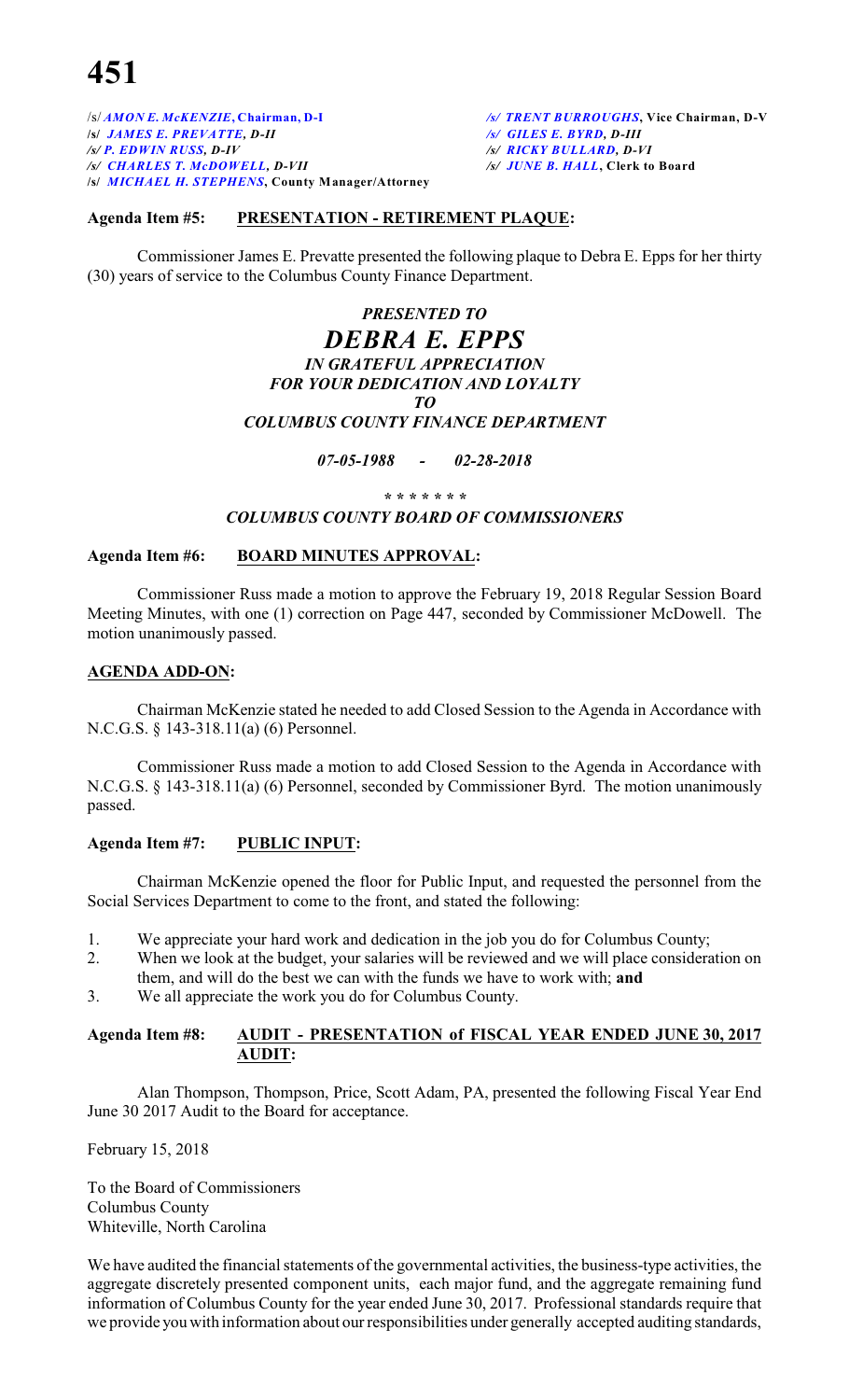/s/ *AMON E. McKENZIE***, Chairman, D-I** */s/ TRENT BURROUGHS***, Vice Chairman, D-V /s/** *JAMES E. PREVATTE, D-II /s/ GILES E. BYRD, D-III /s/ P. EDWIN RUSS, D-IV /s/ RICKY BULLARD, D-VI /s/ CHARLES T. McDOWELL, D-VII /s/ JUNE B. HALL***, Clerk to Board /s/** *MICHAEL H. STEPHENS***, County Manager/Attorney**

### **Agenda Item #5: PRESENTATION - RETIREMENT PLAQUE:**

Commissioner James E. Prevatte presented the following plaque to Debra E. Epps for her thirty (30) years of service to the Columbus County Finance Department.

# *PRESENTED TO DEBRA E. EPPS IN GRATEFUL APPRECIATION FOR YOUR DEDICATION AND LOYALTY TO COLUMBUS COUNTY FINANCE DEPARTMENT*

*07-05-1988 - 02-28-2018*

*\* \* \* \* \* \* \**

#### *COLUMBUS COUNTY BOARD OF COMMISSIONERS*

## **Agenda Item #6: BOARD MINUTES APPROVAL:**

Commissioner Russ made a motion to approve the February 19, 2018 Regular Session Board Meeting Minutes, with one (1) correction on Page 447, seconded by Commissioner McDowell. The motion unanimously passed.

#### **AGENDA ADD-ON:**

Chairman McKenzie stated he needed to add Closed Session to the Agenda in Accordance with N.C.G.S. § 143-318.11(a) (6) Personnel.

Commissioner Russ made a motion to add Closed Session to the Agenda in Accordance with N.C.G.S. § 143-318.11(a) (6) Personnel, seconded by Commissioner Byrd. The motion unanimously passed.

### **Agenda Item #7: PUBLIC INPUT:**

Chairman McKenzie opened the floor for Public Input, and requested the personnel from the Social Services Department to come to the front, and stated the following:

- 1. We appreciate your hard work and dedication in the job you do for Columbus County;
- 2. When we look at the budget, your salaries will be reviewed and we will place consideration on them, and will do the best we can with the funds we have to work with; **and**
- 3. We all appreciate the work you do for Columbus County.

### **Agenda Item #8: AUDIT - PRESENTATION of FISCAL YEAR ENDED JUNE 30, 2017 AUDIT:**

Alan Thompson, Thompson, Price, Scott Adam, PA, presented the following Fiscal Year End June 30 2017 Audit to the Board for acceptance.

February 15, 2018

To the Board of Commissioners Columbus County Whiteville, North Carolina

We have audited the financial statements of the governmental activities, the business-type activities, the aggregate discretely presented component units, each major fund, and the aggregate remaining fund information of Columbus County for the year ended June 30, 2017. Professional standards require that we provide you with information about our responsibilities under generally accepted auditing standards,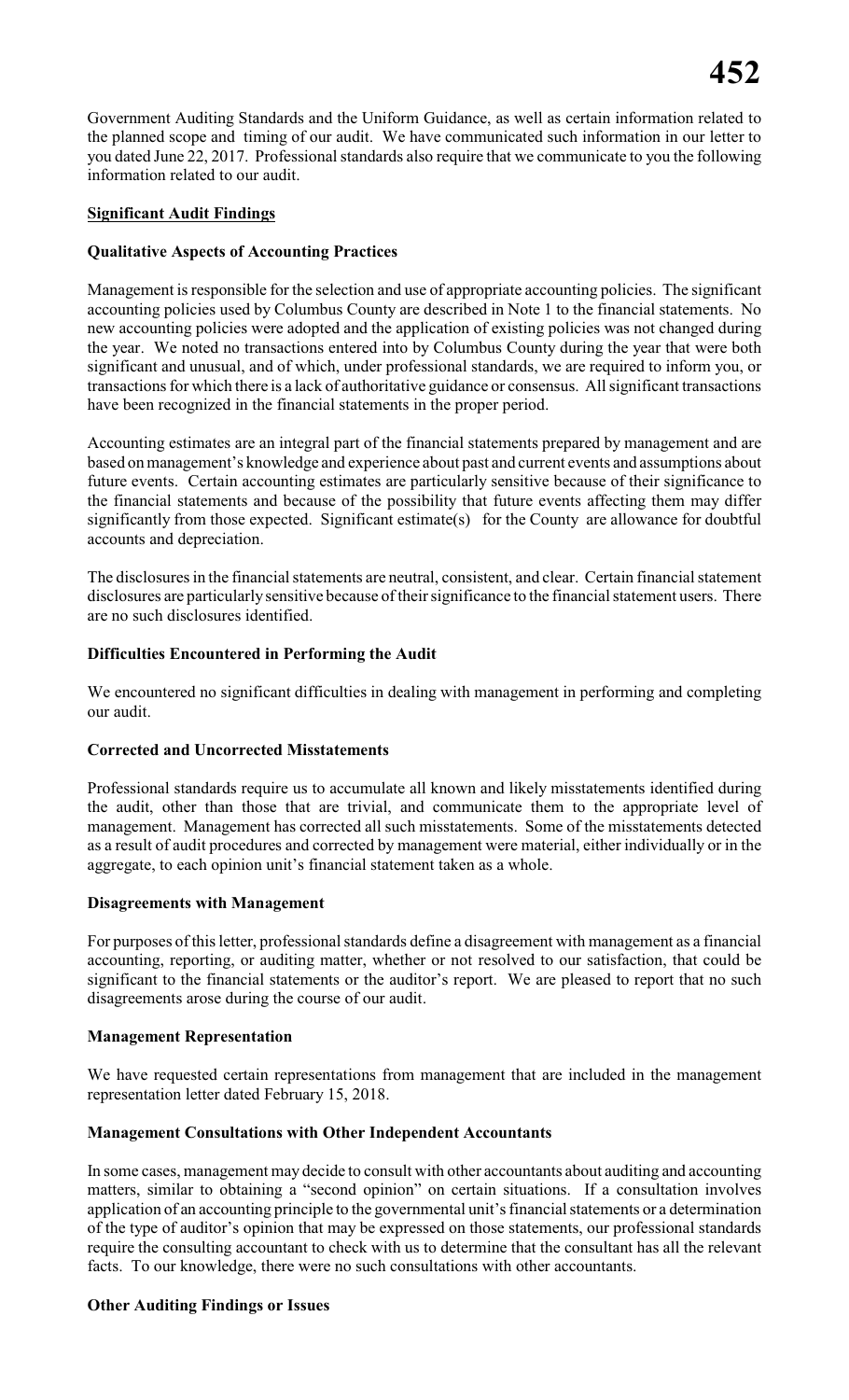Government Auditing Standards and the Uniform Guidance, as well as certain information related to the planned scope and timing of our audit. We have communicated such information in our letter to you dated June 22, 2017. Professional standards also require that we communicate to you the following information related to our audit.

# **Significant Audit Findings**

# **Qualitative Aspects of Accounting Practices**

Management is responsible for the selection and use of appropriate accounting policies. The significant accounting policies used by Columbus County are described in Note 1 to the financial statements. No new accounting policies were adopted and the application of existing policies was not changed during the year. We noted no transactions entered into by Columbus County during the year that were both significant and unusual, and of which, under professional standards, we are required to inform you, or transactions for which there is a lack of authoritative guidance or consensus. All significant transactions have been recognized in the financial statements in the proper period.

Accounting estimates are an integral part of the financial statements prepared by management and are based on management's knowledge and experience about past and current events and assumptions about future events. Certain accounting estimates are particularly sensitive because of their significance to the financial statements and because of the possibility that future events affecting them may differ significantly from those expected. Significant estimate(s) for the County are allowance for doubtful accounts and depreciation.

The disclosures in the financial statements are neutral, consistent, and clear. Certain financial statement disclosures are particularlysensitive because of their significance to the financial statement users. There are no such disclosures identified.

# **Difficulties Encountered in Performing the Audit**

We encountered no significant difficulties in dealing with management in performing and completing our audit.

### **Corrected and Uncorrected Misstatements**

Professional standards require us to accumulate all known and likely misstatements identified during the audit, other than those that are trivial, and communicate them to the appropriate level of management. Management has corrected all such misstatements. Some of the misstatements detected as a result of audit procedures and corrected by management were material, either individually or in the aggregate, to each opinion unit's financial statement taken as a whole.

### **Disagreements with Management**

For purposes of this letter, professional standards define a disagreement with management as a financial accounting, reporting, or auditing matter, whether or not resolved to our satisfaction, that could be significant to the financial statements or the auditor's report. We are pleased to report that no such disagreements arose during the course of our audit.

### **Management Representation**

We have requested certain representations from management that are included in the management representation letter dated February 15, 2018.

### **Management Consultations with Other Independent Accountants**

In some cases, management may decide to consult with other accountants about auditing and accounting matters, similar to obtaining a "second opinion" on certain situations. If a consultation involves application of an accounting principle to the governmental unit's financial statements or a determination of the type of auditor's opinion that may be expressed on those statements, our professional standards require the consulting accountant to check with us to determine that the consultant has all the relevant facts. To our knowledge, there were no such consultations with other accountants.

### **Other Auditing Findings or Issues**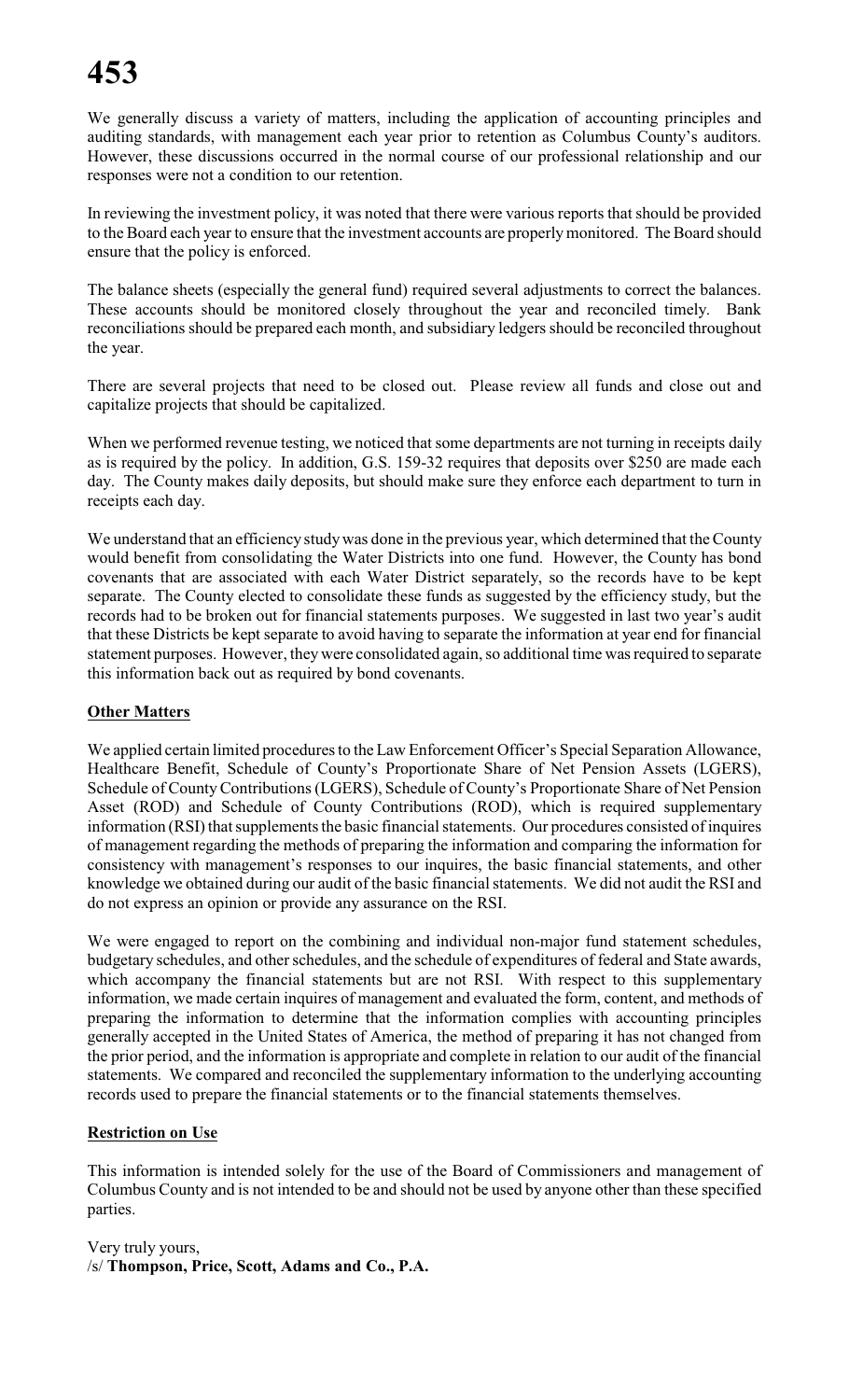We generally discuss a variety of matters, including the application of accounting principles and auditing standards, with management each year prior to retention as Columbus County's auditors. However, these discussions occurred in the normal course of our professional relationship and our responses were not a condition to our retention.

In reviewing the investment policy, it was noted that there were various reports that should be provided to the Board each year to ensure that the investment accounts are properlymonitored. The Board should ensure that the policy is enforced.

The balance sheets (especially the general fund) required several adjustments to correct the balances. These accounts should be monitored closely throughout the year and reconciled timely. Bank reconciliations should be prepared each month, and subsidiary ledgers should be reconciled throughout the year.

There are several projects that need to be closed out. Please review all funds and close out and capitalize projects that should be capitalized.

When we performed revenue testing, we noticed that some departments are not turning in receipts daily as is required by the policy. In addition, G.S. 159-32 requires that deposits over \$250 are made each day. The County makes daily deposits, but should make sure they enforce each department to turn in receipts each day.

We understand that an efficiency study was done in the previous year, which determined that the County would benefit from consolidating the Water Districts into one fund. However, the County has bond covenants that are associated with each Water District separately, so the records have to be kept separate. The County elected to consolidate these funds as suggested by the efficiency study, but the records had to be broken out for financial statements purposes. We suggested in last two year's audit that these Districts be kept separate to avoid having to separate the information at year end for financial statement purposes. However, they were consolidated again, so additional time was required to separate this information back out as required by bond covenants.

# **Other Matters**

We applied certain limited procedures to the Law Enforcement Officer's Special Separation Allowance, Healthcare Benefit, Schedule of County's Proportionate Share of Net Pension Assets (LGERS), Schedule of CountyContributions(LGERS), Schedule of County's Proportionate Share of Net Pension Asset (ROD) and Schedule of County Contributions (ROD), which is required supplementary information (RSI) that supplements the basic financial statements. Our procedures consisted of inquires of management regarding the methods of preparing the information and comparing the information for consistency with management's responses to our inquires, the basic financial statements, and other knowledge we obtained during our audit of the basic financial statements. We did not audit the RSI and do not express an opinion or provide any assurance on the RSI.

We were engaged to report on the combining and individual non-major fund statement schedules, budgetary schedules, and other schedules, and the schedule of expenditures of federal and State awards, which accompany the financial statements but are not RSI. With respect to this supplementary information, we made certain inquires of management and evaluated the form, content, and methods of preparing the information to determine that the information complies with accounting principles generally accepted in the United States of America, the method of preparing it has not changed from the prior period, and the information is appropriate and complete in relation to our audit of the financial statements. We compared and reconciled the supplementary information to the underlying accounting records used to prepare the financial statements or to the financial statements themselves.

# **Restriction on Use**

This information is intended solely for the use of the Board of Commissioners and management of Columbus County and is not intended to be and should not be used by anyone other than these specified parties.

Very truly yours, /s/ **Thompson, Price, Scott, Adams and Co., P.A.**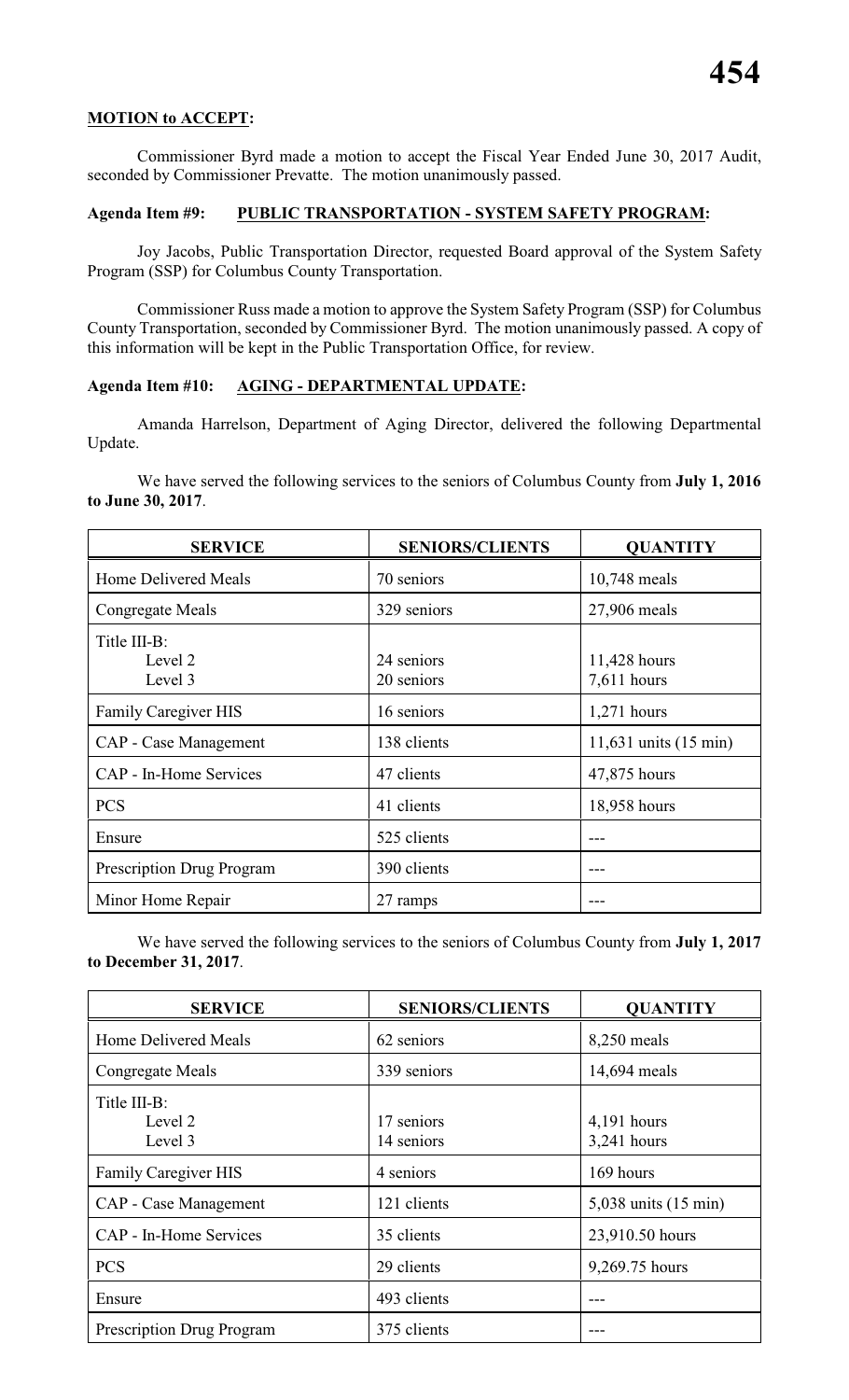### **MOTION to ACCEPT:**

Commissioner Byrd made a motion to accept the Fiscal Year Ended June 30, 2017 Audit, seconded by Commissioner Prevatte. The motion unanimously passed.

# **Agenda Item #9: PUBLIC TRANSPORTATION - SYSTEM SAFETY PROGRAM:**

Joy Jacobs, Public Transportation Director, requested Board approval of the System Safety Program (SSP) for Columbus County Transportation.

Commissioner Russ made a motion to approve the System Safety Program (SSP) for Columbus County Transportation, seconded by Commissioner Byrd. The motion unanimously passed. A copy of this information will be kept in the Public Transportation Office, for review.

# **Agenda Item #10: AGING - DEPARTMENTAL UPDATE:**

Amanda Harrelson, Department of Aging Director, delivered the following Departmental Update.

We have served the following services to the seniors of Columbus County from **July 1, 2016 to June 30, 2017**.

| <b>SERVICE</b>                     | <b>SENIORS/CLIENTS</b>   | <b>QUANTITY</b>                 |
|------------------------------------|--------------------------|---------------------------------|
| Home Delivered Meals               | 70 seniors               | 10,748 meals                    |
| Congregate Meals                   | 329 seniors              | 27,906 meals                    |
| Title III-B:<br>Level 2<br>Level 3 | 24 seniors<br>20 seniors | 11,428 hours<br>7,611 hours     |
| <b>Family Caregiver HIS</b>        | 16 seniors               | $1,271$ hours                   |
| CAP - Case Management              | 138 clients              | 11,631 units $(15 \text{ min})$ |
| CAP - In-Home Services             | 47 clients               | 47,875 hours                    |
| <b>PCS</b>                         | 41 clients               | 18,958 hours                    |
| Ensure                             | 525 clients              |                                 |
| <b>Prescription Drug Program</b>   | 390 clients              |                                 |
| Minor Home Repair                  | 27 ramps                 |                                 |

We have served the following services to the seniors of Columbus County from **July 1, 2017 to December 31, 2017**.

| <b>SERVICE</b>                     | <b>SENIORS/CLIENTS</b>   | <b>QUANTITY</b>                  |
|------------------------------------|--------------------------|----------------------------------|
| <b>Home Delivered Meals</b>        | 62 seniors               | 8,250 meals                      |
| Congregate Meals                   | 339 seniors              | 14,694 meals                     |
| Title III-B:<br>Level 2<br>Level 3 | 17 seniors<br>14 seniors | $4,191$ hours<br>3,241 hours     |
| <b>Family Caregiver HIS</b>        | 4 seniors                | 169 hours                        |
| CAP - Case Management              | 121 clients              | $5,038$ units $(15 \text{ min})$ |
| CAP - In-Home Services             | 35 clients               | 23,910.50 hours                  |
| <b>PCS</b>                         | 29 clients               | 9,269.75 hours                   |
| Ensure                             | 493 clients              |                                  |
| <b>Prescription Drug Program</b>   | 375 clients              |                                  |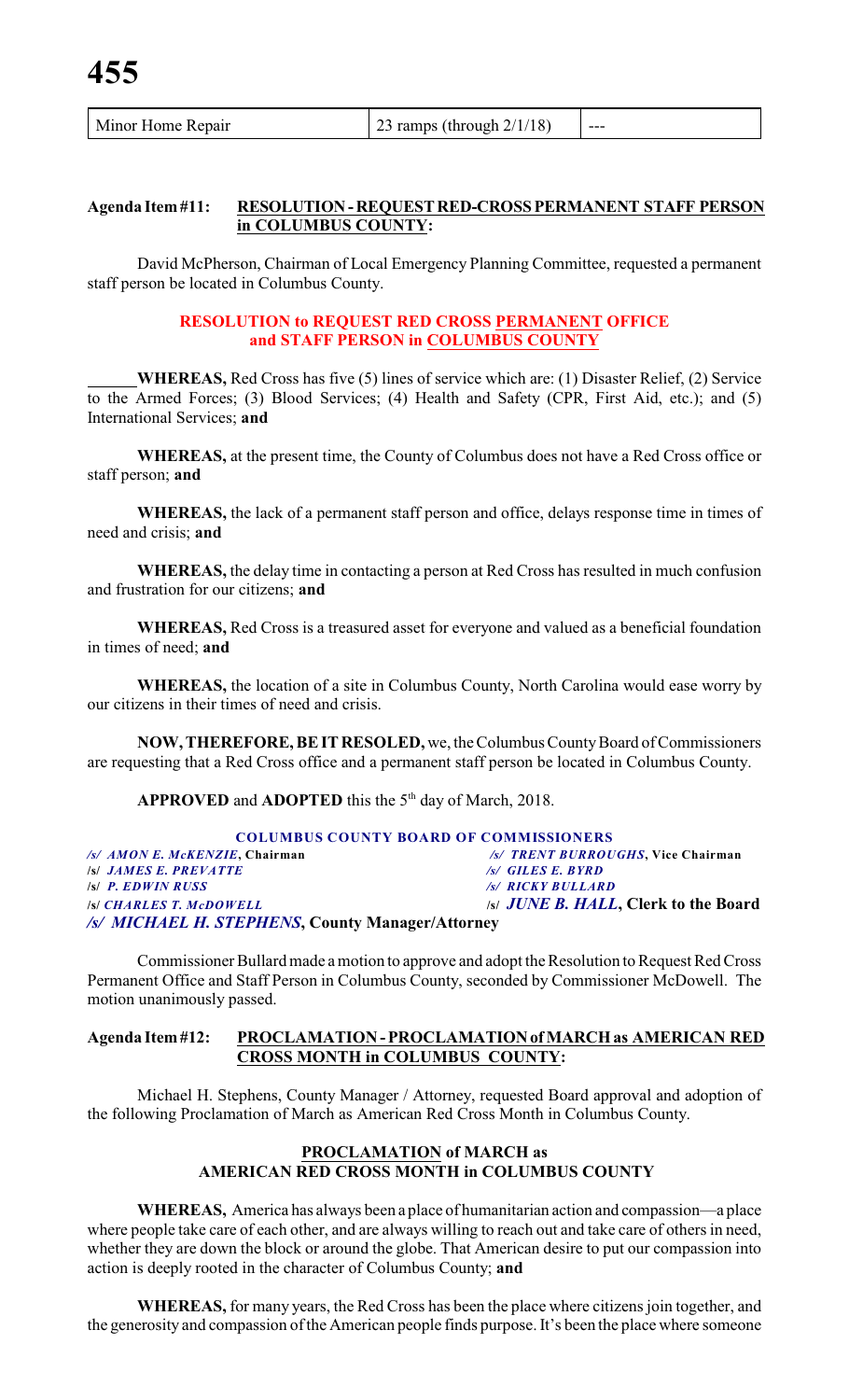# **Agenda Item #11: RESOLUTION - REQUEST RED-CROSS PERMANENT STAFF PERSON in COLUMBUS COUNTY:**

David McPherson, Chairman of Local Emergency Planning Committee, requested a permanent staff person be located in Columbus County.

### **RESOLUTION to REQUEST RED CROSS PERMANENT OFFICE and STAFF PERSON in COLUMBUS COUNTY**

**WHEREAS,** Red Cross has five (5) lines of service which are: (1) Disaster Relief, (2) Service to the Armed Forces; (3) Blood Services; (4) Health and Safety (CPR, First Aid, etc.); and (5) International Services; **and**

**WHEREAS,** at the present time, the County of Columbus does not have a Red Cross office or staff person; **and**

**WHEREAS,** the lack of a permanent staff person and office, delays response time in times of need and crisis; **and**

**WHEREAS,** the delay time in contacting a person at Red Cross has resulted in much confusion and frustration for our citizens; **and**

**WHEREAS,** Red Cross is a treasured asset for everyone and valued as a beneficial foundation in times of need; **and**

**WHEREAS,** the location of a site in Columbus County, North Carolina would ease worry by our citizens in their times of need and crisis.

**NOW, THEREFORE, BE IT RESOLED,** we, the Columbus County Board of Commissioners are requesting that a Red Cross office and a permanent staff person be located in Columbus County.

**APPROVED** and **ADOPTED** this the  $5<sup>th</sup>$  day of March, 2018.

| <b>COLUMBUS COUNTY BOARD OF COMMISSIONERS</b>    |                                              |  |  |  |  |
|--------------------------------------------------|----------------------------------------------|--|--|--|--|
| /s/ AMON E. McKENZIE, Chairman                   | /s/ TRENT BURROUGHS. Vice Chairman           |  |  |  |  |
| <b>S JAMES E. PREVATTE</b>                       | $\sqrt{s}$ GILES E. BYRD                     |  |  |  |  |
| <b>S P. EDWIN RUSS</b>                           | /s/ RICKY BULLARD                            |  |  |  |  |
| <b>SCHARLES T. McDOWELL</b>                      | <i>Isl JUNE B. HALL</i> , Clerk to the Board |  |  |  |  |
| /s/ MICHAEL H. STEPHENS, County Manager/Attorney |                                              |  |  |  |  |

Commissioner Bullard made a motion to approve and adopt the Resolution to Request Red Cross Permanent Office and Staff Person in Columbus County, seconded by Commissioner McDowell. The motion unanimously passed.

# **Agenda Item #12: PROCLAMATION - PROCLAMATION of MARCH as AMERICAN RED CROSS MONTH in COLUMBUS COUNTY:**

Michael H. Stephens, County Manager / Attorney, requested Board approval and adoption of the following Proclamation of March as American Red Cross Month in Columbus County.

# **PROCLAMATION of MARCH as AMERICAN RED CROSS MONTH in COLUMBUS COUNTY**

**WHEREAS,** America has always been a place of humanitarian action and compassion—a place where people take care of each other, and are always willing to reach out and take care of others in need, whether they are down the block or around the globe. That American desire to put our compassion into action is deeply rooted in the character of Columbus County; **and**

**WHEREAS,** for many years, the Red Cross has been the place where citizens join together, and the generosity and compassion ofthe American people finds purpose. It's been the place where someone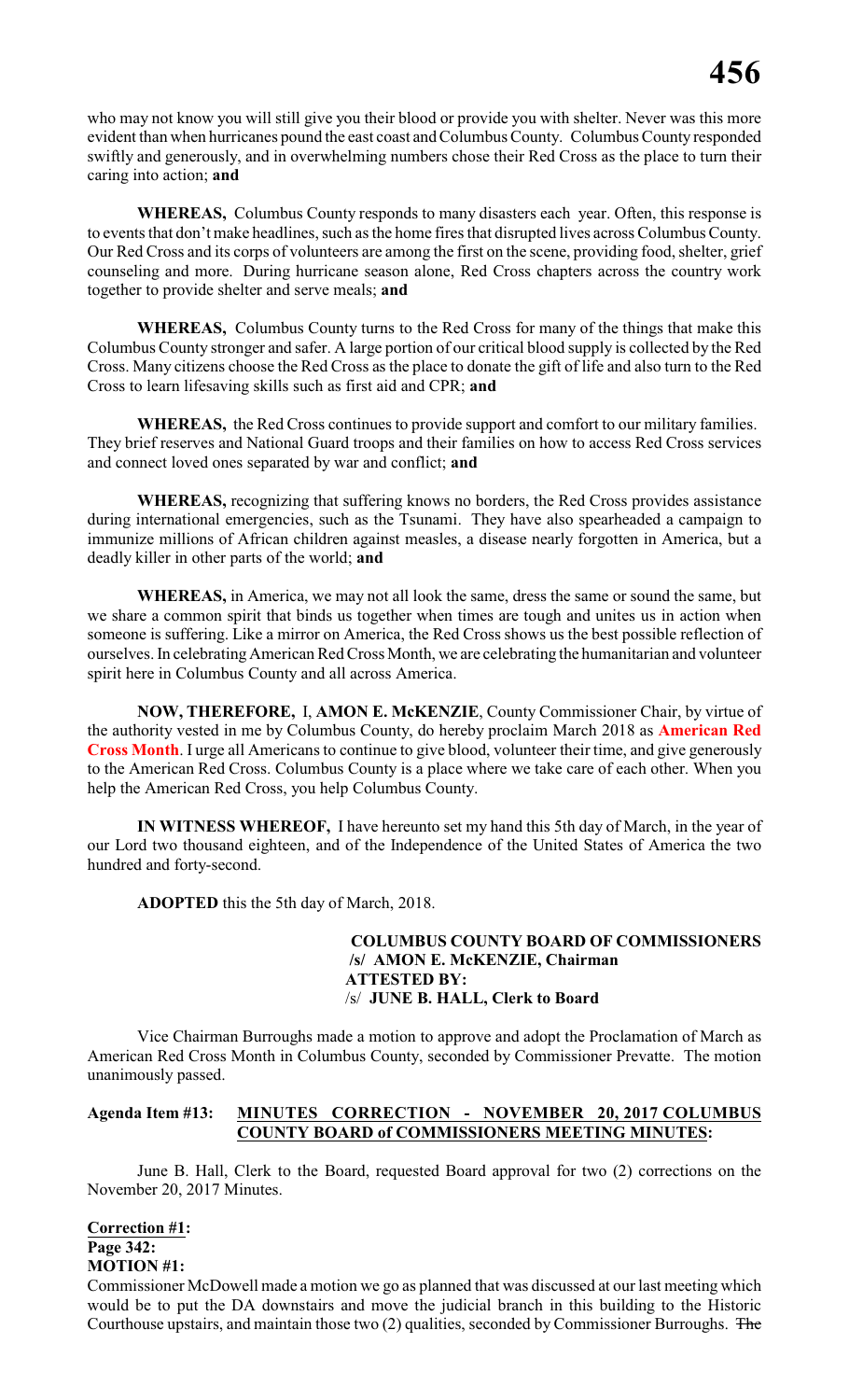who may not know you will still give you their blood or provide you with shelter. Never was this more evident than when hurricanes pound the east coast and Columbus County. Columbus County responded swiftly and generously, and in overwhelming numbers chose their Red Cross as the place to turn their caring into action; **and**

**WHEREAS,** Columbus County responds to many disasters each year. Often, this response is to events that don't make headlines, such as the home fires that disrupted lives across Columbus County. Our Red Cross and its corps of volunteers are among the first on the scene, providing food, shelter, grief counseling and more. During hurricane season alone, Red Cross chapters across the country work together to provide shelter and serve meals; **and**

**WHEREAS,** Columbus County turns to the Red Cross for many of the things that make this Columbus County stronger and safer. A large portion of our critical blood supply is collected by the Red Cross. Many citizens choose the Red Cross as the place to donate the gift of life and also turn to the Red Cross to learn lifesaving skills such as first aid and CPR; **and**

**WHEREAS,** the Red Cross continues to provide support and comfort to our military families. They brief reserves and National Guard troops and their families on how to access Red Cross services and connect loved ones separated by war and conflict; **and**

**WHEREAS,** recognizing that suffering knows no borders, the Red Cross provides assistance during international emergencies, such as the Tsunami. They have also spearheaded a campaign to immunize millions of African children against measles, a disease nearly forgotten in America, but a deadly killer in other parts of the world; **and**

**WHEREAS,** in America, we may not all look the same, dress the same or sound the same, but we share a common spirit that binds us together when times are tough and unites us in action when someone is suffering. Like a mirror on America, the Red Cross shows us the best possible reflection of ourselves. In celebrating American Red Cross Month, we are celebrating the humanitarian and volunteer spirit here in Columbus County and all across America.

**NOW, THEREFORE,** I, **AMON E. McKENZIE**, County Commissioner Chair, by virtue of the authority vested in me by Columbus County, do hereby proclaim March 2018 as **American Red Cross Month**. I urge all Americans to continue to give blood, volunteer their time, and give generously to the American Red Cross. Columbus County is a place where we take care of each other. When you help the American Red Cross, you help Columbus County.

**IN WITNESS WHEREOF,** I have hereunto set my hand this 5th day of March, in the year of our Lord two thousand eighteen, and of the Independence of the United States of America the two hundred and forty-second.

**ADOPTED** this the 5th day of March, 2018.

# **COLUMBUS COUNTY BOARD OF COMMISSIONERS /s/ AMON E. McKENZIE, Chairman ATTESTED BY:** /s/ **JUNE B. HALL, Clerk to Board**

Vice Chairman Burroughs made a motion to approve and adopt the Proclamation of March as American Red Cross Month in Columbus County, seconded by Commissioner Prevatte. The motion unanimously passed.

# **Agenda Item #13: MINUTES CORRECTION - NOVEMBER 20, 2017 COLUMBUS COUNTY BOARD of COMMISSIONERS MEETING MINUTES:**

June B. Hall, Clerk to the Board, requested Board approval for two (2) corrections on the November 20, 2017 Minutes.

#### **Correction #1: Page 342: MOTION #1:**

Commissioner McDowell made a motion we go as planned that was discussed at our last meeting which would be to put the DA downstairs and move the judicial branch in this building to the Historic Courthouse upstairs, and maintain those two (2) qualities, seconded by Commissioner Burroughs. The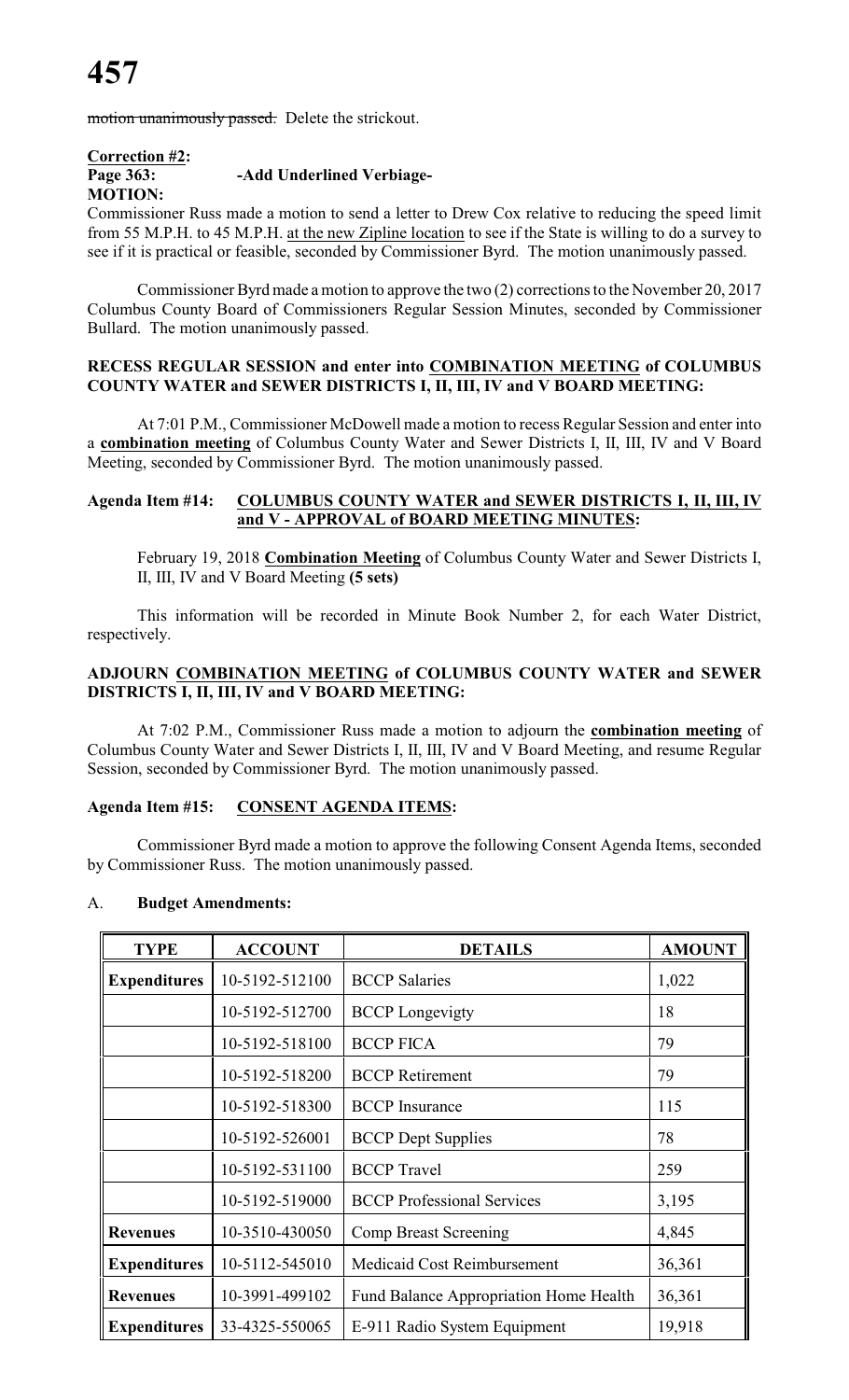motion unanimously passed. Delete the strickout.

### **Correction #2: Page 363: -Add Underlined Verbiage-MOTION:**

Commissioner Russ made a motion to send a letter to Drew Cox relative to reducing the speed limit from 55 M.P.H. to 45 M.P.H. at the new Zipline location to see if the State is willing to do a survey to see if it is practical or feasible, seconded by Commissioner Byrd. The motion unanimously passed.

Commissioner Byrd made a motion to approve the two (2) corrections to the November 20, 2017 Columbus County Board of Commissioners Regular Session Minutes, seconded by Commissioner Bullard. The motion unanimously passed.

#### **RECESS REGULAR SESSION and enter into COMBINATION MEETING of COLUMBUS COUNTY WATER and SEWER DISTRICTS I, II, III, IV and V BOARD MEETING:**

At 7:01 P.M., Commissioner McDowell made a motion to recess Regular Session and enter into a **combination meeting** of Columbus County Water and Sewer Districts I, II, III, IV and V Board Meeting, seconded by Commissioner Byrd. The motion unanimously passed.

### **Agenda Item #14: COLUMBUS COUNTY WATER and SEWER DISTRICTS I, II, III, IV and V - APPROVAL of BOARD MEETING MINUTES:**

February 19, 2018 **Combination Meeting** of Columbus County Water and Sewer Districts I, II, III, IV and V Board Meeting **(5 sets)**

This information will be recorded in Minute Book Number 2, for each Water District, respectively.

# **ADJOURN COMBINATION MEETING of COLUMBUS COUNTY WATER and SEWER DISTRICTS I, II, III, IV and V BOARD MEETING:**

At 7:02 P.M., Commissioner Russ made a motion to adjourn the **combination meeting** of Columbus County Water and Sewer Districts I, II, III, IV and V Board Meeting, and resume Regular Session, seconded by Commissioner Byrd. The motion unanimously passed.

# **Agenda Item #15: CONSENT AGENDA ITEMS:**

Commissioner Byrd made a motion to approve the following Consent Agenda Items, seconded by Commissioner Russ. The motion unanimously passed.

| <b>TYPE</b>         | <b>ACCOUNT</b> | <b>DETAILS</b>                         | <b>AMOUNT</b> |
|---------------------|----------------|----------------------------------------|---------------|
| <b>Expenditures</b> | 10-5192-512100 | <b>BCCP</b> Salaries                   | 1,022         |
|                     | 10-5192-512700 | <b>BCCP</b> Longevigty                 | 18            |
|                     | 10-5192-518100 | <b>BCCP FICA</b>                       | 79            |
|                     | 10-5192-518200 | <b>BCCP</b> Retirement                 | 79            |
|                     | 10-5192-518300 | <b>BCCP</b> Insurance                  | 115           |
|                     | 10-5192-526001 | <b>BCCP</b> Dept Supplies              | 78            |
|                     | 10-5192-531100 | <b>BCCP</b> Travel                     | 259           |
|                     | 10-5192-519000 | <b>BCCP</b> Professional Services      | 3,195         |
| <b>Revenues</b>     | 10-3510-430050 | Comp Breast Screening                  | 4,845         |
| <b>Expenditures</b> | 10-5112-545010 | Medicaid Cost Reimbursement            | 36,361        |
| <b>Revenues</b>     | 10-3991-499102 | Fund Balance Appropriation Home Health | 36,361        |
| <b>Expenditures</b> | 33-4325-550065 | E-911 Radio System Equipment           | 19,918        |

### A. **Budget Amendments:**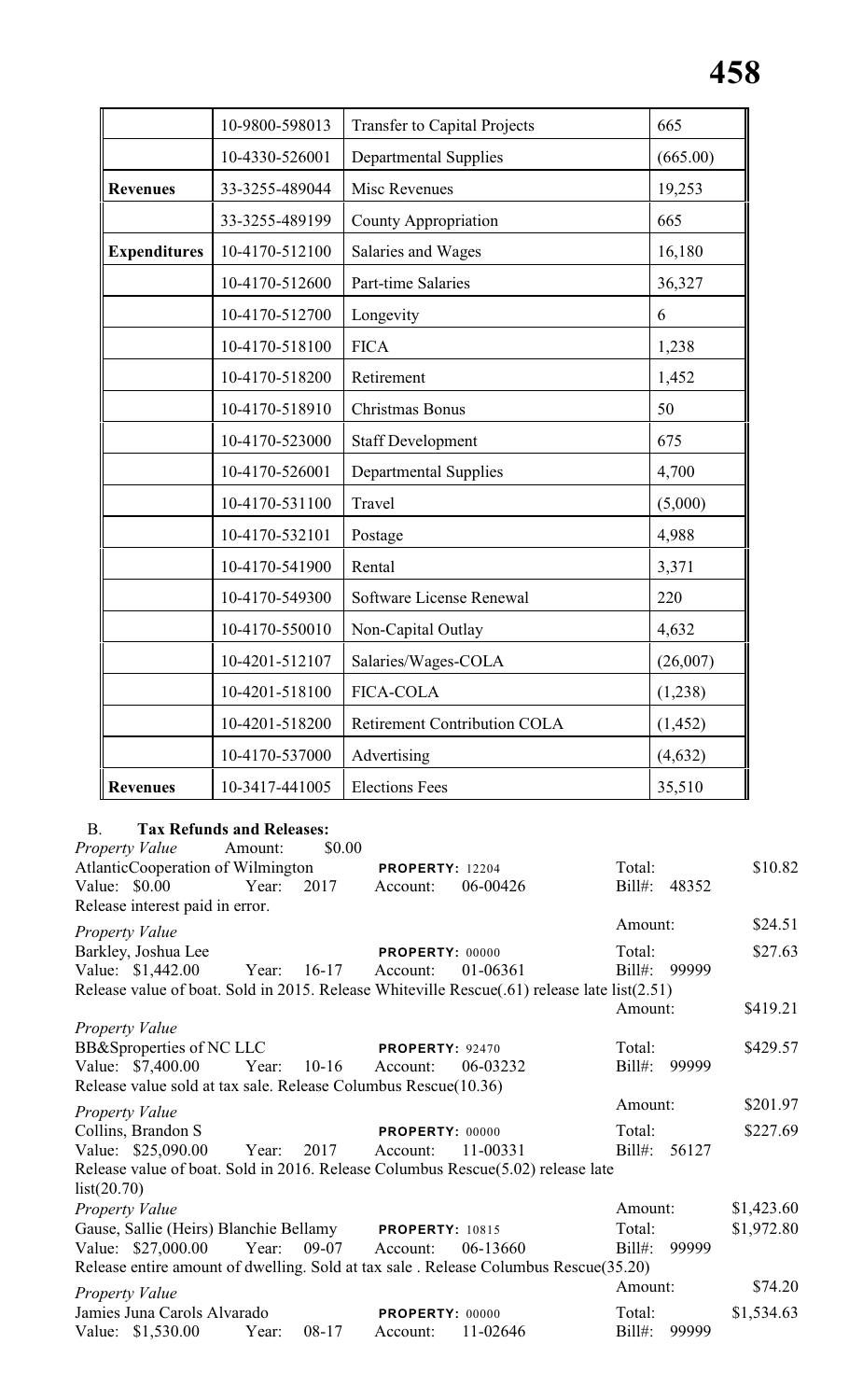|                     | 10-9800-598013 | <b>Transfer to Capital Projects</b> | 665      |
|---------------------|----------------|-------------------------------------|----------|
|                     | 10-4330-526001 | <b>Departmental Supplies</b>        | (665.00) |
| <b>Revenues</b>     | 33-3255-489044 | Misc Revenues                       | 19,253   |
|                     | 33-3255-489199 | <b>County Appropriation</b>         | 665      |
| <b>Expenditures</b> | 10-4170-512100 | Salaries and Wages                  | 16,180   |
|                     | 10-4170-512600 | Part-time Salaries                  | 36,327   |
|                     | 10-4170-512700 | Longevity                           | 6        |
|                     | 10-4170-518100 | <b>FICA</b>                         | 1,238    |
|                     | 10-4170-518200 | Retirement                          | 1,452    |
|                     | 10-4170-518910 | <b>Christmas Bonus</b>              | 50       |
|                     | 10-4170-523000 | <b>Staff Development</b>            | 675      |
|                     | 10-4170-526001 | <b>Departmental Supplies</b>        | 4,700    |
|                     | 10-4170-531100 | Travel                              | (5,000)  |
|                     | 10-4170-532101 | Postage                             | 4,988    |
|                     | 10-4170-541900 | Rental                              | 3,371    |
|                     | 10-4170-549300 | Software License Renewal            | 220      |
|                     | 10-4170-550010 | Non-Capital Outlay                  | 4,632    |
|                     | 10-4201-512107 | Salaries/Wages-COLA                 | (26,007) |
|                     | 10-4201-518100 | <b>FICA-COLA</b>                    | (1,238)  |
|                     | 10-4201-518200 | <b>Retirement Contribution COLA</b> | (1, 452) |
|                     | 10-4170-537000 | Advertising                         | (4, 632) |
| <b>Revenues</b>     | 10-3417-441005 | <b>Elections Fees</b>               | 35,510   |

# B. **Tax Refunds and Releases:**

| <i>Property Value</i> Amount:                                  |                      | \$0.00  |                        |                                                                                             |           |              |            |
|----------------------------------------------------------------|----------------------|---------|------------------------|---------------------------------------------------------------------------------------------|-----------|--------------|------------|
| AtlanticCooperation of Wilmington                              |                      |         | <b>PROPERTY: 12204</b> |                                                                                             | Total:    |              | \$10.82    |
| Value: \$0.00                                                  | Year:                | 2017    | Account:               | 06-00426                                                                                    |           | Bill#: 48352 |            |
| Release interest paid in error.                                |                      |         |                        |                                                                                             |           |              |            |
| Property Value                                                 |                      |         |                        |                                                                                             | Amount:   |              | \$24.51    |
| Barkley, Joshua Lee                                            |                      |         | PROPERTY: 00000        |                                                                                             | Total:    |              | \$27.63    |
| Value: \$1,442.00                                              | Year: 16-17          |         | Account:               | 01-06361                                                                                    | $Bill#$ : | 99999        |            |
|                                                                |                      |         |                        | Release value of boat. Sold in 2015. Release Whiteville Rescue(.61) release late list(2.51) |           |              |            |
|                                                                |                      |         |                        |                                                                                             | Amount:   |              | \$419.21   |
| Property Value                                                 |                      |         |                        |                                                                                             |           |              |            |
| BB&Sproperties of NC LLC                                       |                      |         | <b>PROPERTY: 92470</b> |                                                                                             | Total:    |              | \$429.57   |
| Value: \$7,400.00                                              | Year: 10-16 Account: |         |                        | 06-03232                                                                                    | $Bill#$ : | 99999        |            |
| Release value sold at tax sale. Release Columbus Rescue(10.36) |                      |         |                        |                                                                                             |           |              |            |
| Property Value                                                 |                      |         |                        |                                                                                             | Amount:   |              | \$201.97   |
| Collins, Brandon S                                             |                      |         | PROPERTY: 00000        |                                                                                             | Total:    |              | \$227.69   |
| Value: \$25,090.00 Year: 2017                                  |                      |         | Account:               | 11-00331                                                                                    |           | Bill#: 56127 |            |
|                                                                |                      |         |                        | Release value of boat. Sold in 2016. Release Columbus Rescue(5.02) release late             |           |              |            |
| list(20.70)                                                    |                      |         |                        |                                                                                             |           |              |            |
| Property Value                                                 |                      |         |                        |                                                                                             | Amount:   |              | \$1,423.60 |
| Gause, Sallie (Heirs) Blanchie Bellamy PROPERTY: 10815         |                      |         |                        |                                                                                             | Total:    |              | \$1,972.80 |
| Value: \$27,000.00 Year:                                       |                      |         | 09-07 Account:         | 06-13660                                                                                    | $Bill#$ : | 99999        |            |
|                                                                |                      |         |                        | Release entire amount of dwelling. Sold at tax sale. Release Columbus Rescue(35.20)         |           |              |            |
| Property Value                                                 |                      |         |                        |                                                                                             | Amount:   |              | \$74.20    |
| Jamies Juna Carols Alvarado                                    |                      |         | <b>PROPERTY: 00000</b> |                                                                                             | Total:    |              | \$1,534.63 |
| Value: \$1,530.00                                              | Year:                | $08-17$ | Account:               | 11-02646                                                                                    | $Bill#$ : | 99999        |            |
|                                                                |                      |         |                        |                                                                                             |           |              |            |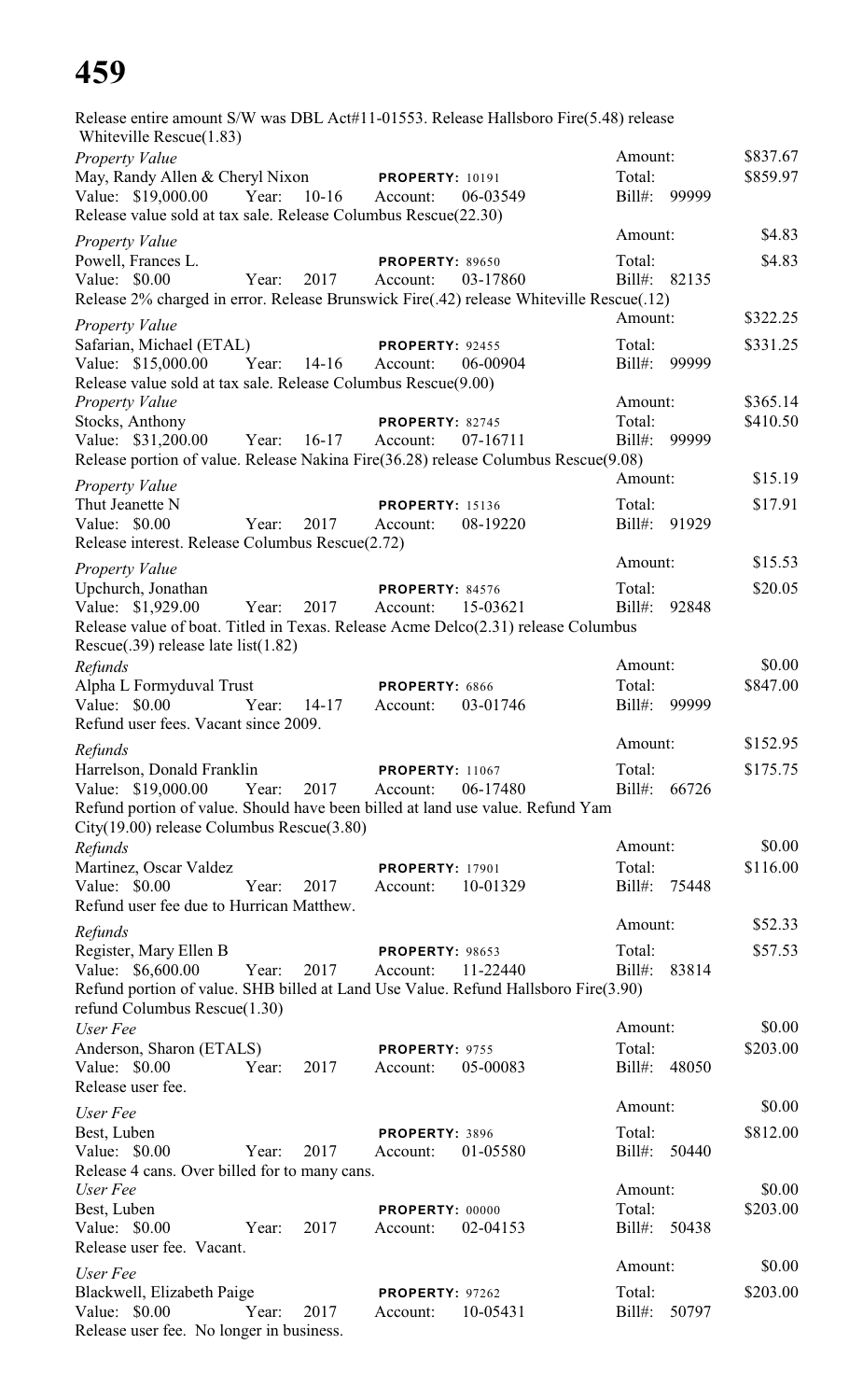Release entire amount S/W was DBL Act#11-01553. Release Hallsboro Fire(5.48) release Whiteville Rescue(1.83) *Property Value* \$837.67 May, Randy Allen & Cheryl Nixon **PROPERTY:** 10191 Total: \$859.97 Value: \$19,000.00 Year: 10-16 Account: 06-03549 Bill#: 99999 Release value sold at tax sale. Release Columbus Rescue(22.30) *Property Value* \$4.83 Powell, Frances L. **PROPERTY:** 89650 Total: \$4.83 Value: \$0.00 Year: 2017 Account: 03-17860 Bill#: 82135 Release 2% charged in error. Release Brunswick Fire(.42) release Whiteville Rescue(.12) *Property Value* \$322.25 Safarian, Michael (ETAL) **PROPERTY:** 92455 Total: \$331.25 Value: \$15,000.00 Year: 14-16 Account: 06-00904 Bill#: 99999 Release value sold at tax sale. Release Columbus Rescue(9.00) *Property Value* \$365.14 **Amount:** \$365.14 Stocks, Anthony **PROPERTY:** 82745 Total: \$410.50 Value: \$31,200.00 Year: 16-17 Account: 07-16711 Bill#: 99999 Release portion of value. Release Nakina Fire(36.28) release Columbus Rescue(9.08) *Property Value* \$15.19 Thut Jeanette N **PROPERTY**: 15136 Total: \$17.91 Value: \$0.00 Year: 2017 Account: 08-19220 Bill#: 91929 Release interest. Release Columbus Rescue(2.72) *Property Value* \$15.53 Upchurch, Jonathan **PROPERTY:** 84576 Total: \$20.05 Value: \$1,929.00 Year: 2017 Account: 15-03621 Bill#: 92848 Release value of boat. Titled in Texas. Release Acme Delco(2.31) release Columbus Rescue(.39) release late list(1.82) *Refunds* \$0.00 Alpha L Formyduval Trust **PROPERTY:** 6866 Total: \$847.00 Value: \$0.00 Year: 14-17 Account: 03-01746 Bill#: 99999 Refund user fees. Vacant since 2009. *Refunds* Amount: \$152.95 Harrelson, Donald Franklin **PROPERTY:** 11067 Total: \$175.75 Value: \$19,000.00 Year: 2017 Account: 06-17480 Bill#: 66726 Refund portion of value. Should have been billed at land use value. Refund Yam City(19.00) release Columbus Rescue(3.80) *Refunds* \$0.00 Martinez, Oscar Valdez **PROPERTY:** 17901 Total: \$116.00 Value: \$0.00 Year: 2017 Account: 10-01329 Bill#: 75448 Refund user fee due to Hurrican Matthew. *Refunds* Amount: \$52.33 Register, Mary Ellen B **PROPERTY**: 98653 Total: \$57.53 Value: \$6,600.00 Year: 2017 Account: 11-22440 Bill#: 83814 Refund portion of value. SHB billed at Land Use Value. Refund Hallsboro Fire(3.90) refund Columbus Rescue(1.30) *User Fee* \$0.00 Anderson, Sharon (ETALS) **PROPERTY**: 9755 Total: \$203.00 Value: \$0.00 Year: 2017 Account: 05-00083 Bill#: 48050 Release user fee. *User Fee* Amount: \$0.00 Best, Luben **PROPERTY:** 3896 Total: \$812.00 Value: \$0.00 Year: 2017 Account: 01-05580 Bill#: 50440 Release 4 cans. Over billed for to many cans. *User Fee* \$0.00 Best, Luben **PROPERTY:** 00000 Total: \$203.00 Value: \$0.00 Year: 2017 Account: 02-04153 Bill#: 50438 Release user fee. Vacant. *User Fee* Amount: \$0.00 Blackwell, Elizabeth Paige **PROPERTY:** 97262 Total: \$203.00 Value: \$0.00 Year: 2017 Account: 10-05431 Bill#: 50797 Release user fee. No longer in business.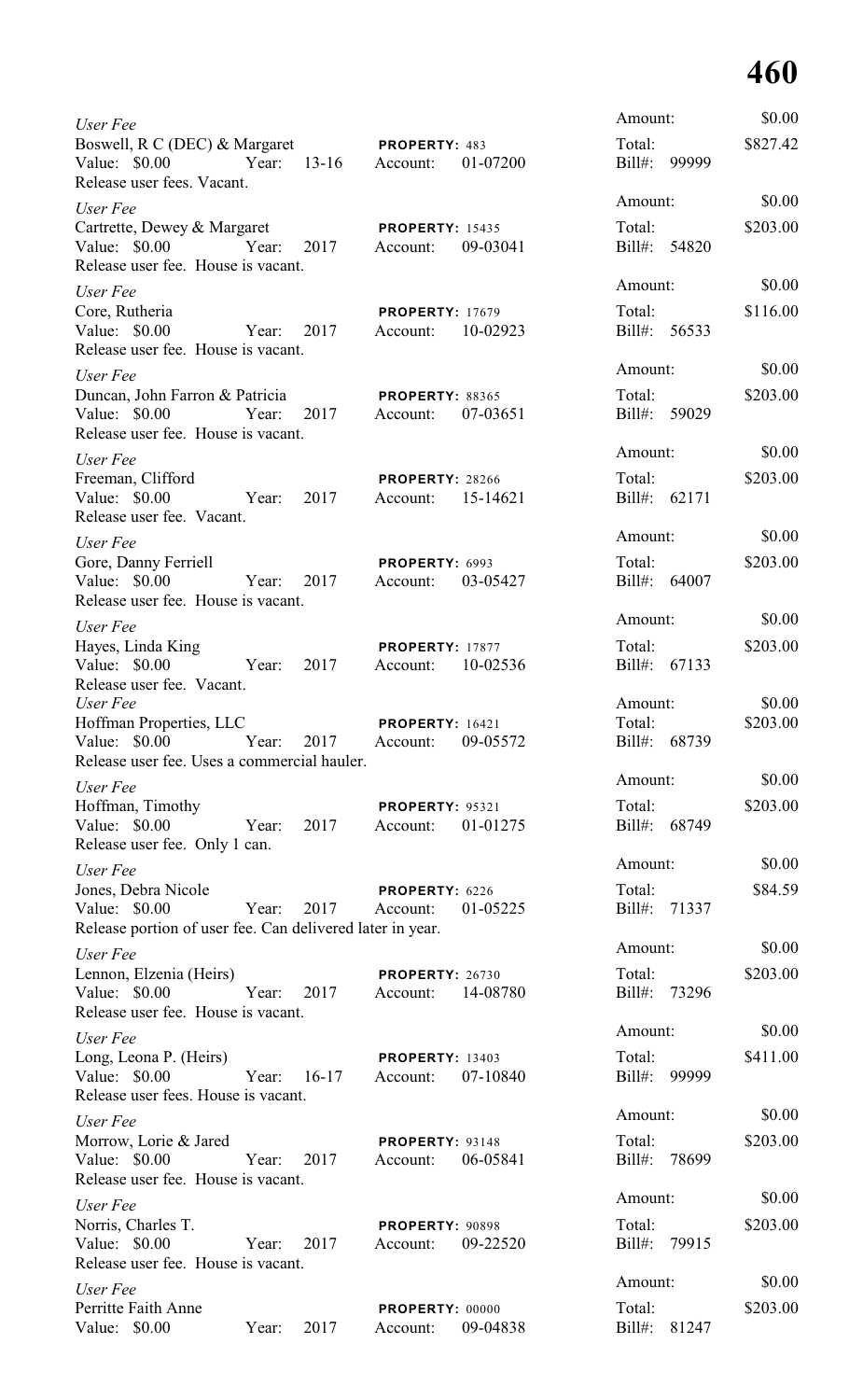| User Fee                                                                                                           |                                                | Amount:                      | \$0.00   |
|--------------------------------------------------------------------------------------------------------------------|------------------------------------------------|------------------------------|----------|
| Boswell, R C (DEC) & Margaret<br>Value: \$0.00 Year:<br>$13-16$<br>Release user fees. Vacant.                      | PROPERTY: 483<br>01-07200<br>Account:          | Total:<br>$Bill#$ :<br>99999 | \$827.42 |
| User Fee                                                                                                           |                                                | Amount:                      | \$0.00   |
| Cartrette, Dewey & Margaret<br>Value: \$0.00 Year:<br>2017<br>Release user fee. House is vacant.                   | <b>PROPERTY: 15435</b><br>09-03041<br>Account: | Total:<br>Bill#: 54820       | \$203.00 |
| User Fee                                                                                                           |                                                | Amount:                      | \$0.00   |
| Core, Rutheria<br>Value: \$0.00<br>Year:<br>2017<br>Release user fee. House is vacant.                             | <b>PROPERTY: 17679</b><br>10-02923<br>Account: | Total:<br>Bill#: 56533       | \$116.00 |
| User Fee                                                                                                           |                                                | Amount:                      | \$0.00   |
| Duncan, John Farron & Patricia<br>Value: \$0.00<br>2017<br>Year:<br>Release user fee. House is vacant.             | <b>PROPERTY: 88365</b><br>07-03651<br>Account: | Total:<br>Bill#: 59029       | \$203.00 |
| User Fee                                                                                                           |                                                | Amount:                      | \$0.00   |
| Freeman, Clifford<br>Value: \$0.00<br>2017<br>Year:<br>Release user fee. Vacant.                                   | PROPERTY: 28266<br>15-14621<br>Account:        | Total:<br>Bill#: 62171       | \$203.00 |
| User Fee                                                                                                           |                                                | Amount:                      | \$0.00   |
| Gore, Danny Ferriell<br>Value: \$0.00<br>Year:<br>2017<br>Release user fee. House is vacant.                       | PROPERTY: 6993<br>03-05427<br>Account:         | Total:<br>Bill#: 64007       | \$203.00 |
| User Fee                                                                                                           |                                                | Amount:                      | \$0.00   |
| Hayes, Linda King<br>2017<br>Value: \$0.00 Year:                                                                   | <b>PROPERTY: 17877</b><br>10-02536<br>Account: | Total:<br>Bill#: 67133       | \$203.00 |
| Release user fee. Vacant.<br>User Fee                                                                              |                                                | Amount:                      | \$0.00   |
| Hoffman Properties, LLC<br>Value: \$0.00<br>2017<br>Year:<br>Release user fee. Uses a commercial hauler.           | <b>PROPERTY: 16421</b><br>09-05572<br>Account: | Total:<br>$Bill#$ :<br>68739 | \$203.00 |
| User Fee                                                                                                           |                                                | Amount:                      | \$0.00   |
| Hoffman, Timothy<br>Value: $$0.00$<br>Year:<br>2017<br>Release user fee. Only 1 can.                               | <b>PROPERTY: 95321</b><br>01-01275<br>Account: | Total:<br>Bill#: 68749       | \$203.00 |
| User Fee                                                                                                           |                                                | Amount:                      | \$0.00   |
| Jones, Debra Nicole<br>Value: \$0.00<br>Year:<br>2017<br>Release portion of user fee. Can delivered later in year. | PROPERTY: 6226<br>01-05225<br>Account:         | Total:<br>71337<br>Bill#:    | \$84.59  |
| User Fee                                                                                                           |                                                | Amount:                      | \$0.00   |
| Lennon, Elzenia (Heirs)<br>Value: \$0.00<br>Year:<br>2017<br>Release user fee. House is vacant.                    | PROPERTY: 26730<br>14-08780<br>Account:        | Total:<br>Bill#:<br>73296    | \$203.00 |
| User Fee                                                                                                           |                                                | Amount:                      | \$0.00   |
| Long, Leona P. (Heirs)<br>Value: \$0.00<br>Year:<br>$16-17$<br>Release user fees. House is vacant.                 | <b>PROPERTY: 13403</b><br>07-10840<br>Account: | Total:<br>Bill#:<br>99999    | \$411.00 |
| User Fee                                                                                                           |                                                | Amount:                      | \$0.00   |
| Morrow, Lorie & Jared<br>Value: \$0.00<br>Year:<br>2017<br>Release user fee. House is vacant.                      | <b>PROPERTY: 93148</b><br>06-05841<br>Account: | Total:<br>78699<br>Bill#:    | \$203.00 |
| User Fee                                                                                                           |                                                | Amount:                      | \$0.00   |
| Norris, Charles T.<br>Value: \$0.00<br>Year:<br>2017<br>Release user fee. House is vacant.                         | <b>PROPERTY: 90898</b><br>09-22520<br>Account: | Total:<br>$Bill#$ :<br>79915 | \$203.00 |
| User Fee                                                                                                           |                                                | Amount:                      | \$0.00   |
| Perritte Faith Anne<br>Value: \$0.00<br>2017<br>Year:                                                              | PROPERTY: 00000<br>09-04838<br>Account:        | Total:<br>$Bill#$ :<br>81247 | \$203.00 |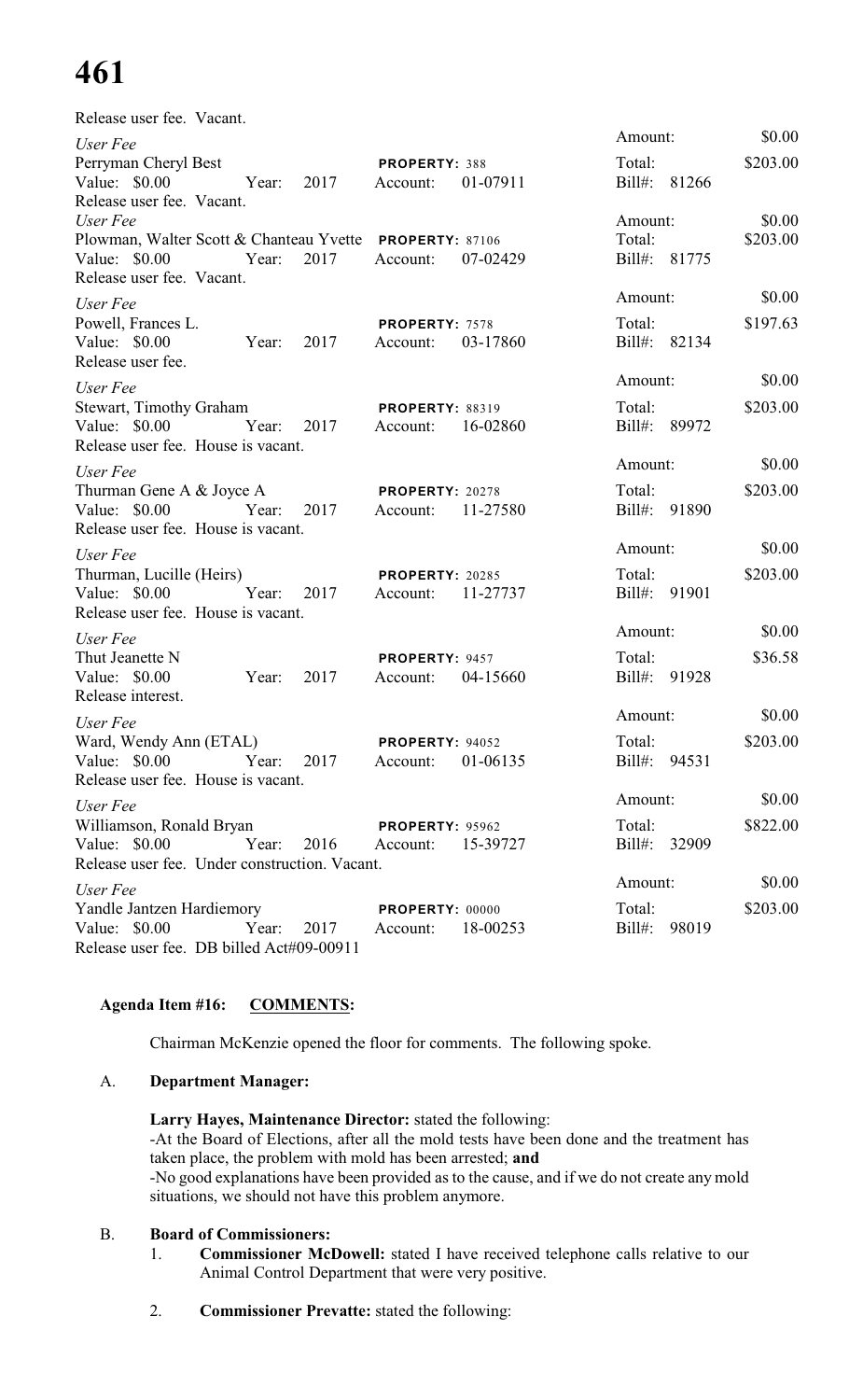| Release user fee. Vacant.                                                                                         |            |      |                                             |          |                                   |                    |
|-------------------------------------------------------------------------------------------------------------------|------------|------|---------------------------------------------|----------|-----------------------------------|--------------------|
| User Fee                                                                                                          |            |      |                                             |          | Amount:                           | \$0.00             |
| Perryman Cheryl Best<br>Value: \$0.00 Year:<br>Release user fee. Vacant.                                          |            | 2017 | <b>PROPERTY: 388</b><br>Account:            | 01-07911 | Total:<br>Bill#: 81266            | \$203.00           |
| User Fee<br>Plowman, Walter Scott & Chanteau Yvette PROPERTY: 87106<br>Value: \$0.00<br>Release user fee. Vacant. | Year:      | 2017 | Account:                                    | 07-02429 | Amount:<br>Total:<br>Bill#: 81775 | \$0.00<br>\$203.00 |
| User Fee                                                                                                          |            |      |                                             |          | Amount:                           | \$0.00             |
| Powell, Frances L.<br>Value: $$0.00$<br>Release user fee.                                                         | Year:      | 2017 | <b>PROPERTY: 7578</b><br>Account:           | 03-17860 | Total:<br>Bill#: 82134            | \$197.63           |
| User Fee                                                                                                          |            |      |                                             |          | Amount:                           | \$0.00             |
| <b>Stewart, Timothy Graham</b><br>Value: \$0.00 Year:<br>Release user fee. House is vacant.                       |            | 2017 | <b>PROPERTY: 88319</b><br>Account: 16-02860 |          | Total:<br>Bill#: 89972            | \$203.00           |
| User Fee                                                                                                          |            |      |                                             |          | Amount:                           | \$0.00             |
| Thurman Gene A & Joyce A<br>Value: \$0.00 Year:<br>Release user fee. House is vacant.                             |            | 2017 | PROPERTY: 20278<br>Account:                 | 11-27580 | Total:<br>Bill#: 91890            | \$203.00           |
| User Fee                                                                                                          |            |      |                                             |          | Amount:                           | \$0.00             |
| Thurman, Lucille (Heirs)<br>Value: \$0.00 Year:<br>Release user fee. House is vacant.                             |            | 2017 | PROPERTY: 20285<br>Account:                 | 11-27737 | Total:<br>Bill#: 91901            | \$203.00           |
| User Fee                                                                                                          |            |      |                                             |          | Amount:                           | \$0.00             |
| Thut Jeanette N<br>Value: \$0.00<br>Release interest.                                                             | Year:      | 2017 | PROPERTY: 9457<br>Account:                  | 04-15660 | Total:<br>Bill#: 91928            | \$36.58            |
| User Fee                                                                                                          |            |      |                                             |          | Amount:                           | \$0.00             |
| Ward, Wendy Ann (ETAL)<br>Value: \$0.00<br>Release user fee. House is vacant.                                     | Year: 2017 |      | PROPERTY: 94052<br>Account:                 | 01-06135 | Total:<br>Bill#: 94531            | \$203.00           |
| User Fee                                                                                                          |            |      |                                             |          | Amount:                           | \$0.00             |
| Williamson, Ronald Bryan<br>Value: $$0.00$<br>Release user fee. Under construction. Vacant.                       | Year:      | 2016 | <b>PROPERTY: 95962</b><br>Account:          | 15-39727 | Total:<br>Bill#: 32909            | \$822.00           |
| User Fee                                                                                                          |            |      |                                             |          | Amount:                           | \$0.00             |
| Yandle Jantzen Hardiemory<br>Value: \$0.00<br>Release user fee. DB billed Act#09-00911                            | Year:      | 2017 | <b>PROPERTY: 00000</b><br>Account:          | 18-00253 | Total:<br>Bill#: 98019            | \$203.00           |

# **Agenda Item #16: COMMENTS:**

Chairman McKenzie opened the floor for comments. The following spoke.

# A. **Department Manager:**

# **Larry Hayes, Maintenance Director:** stated the following:

-At the Board of Elections, after all the mold tests have been done and the treatment has taken place, the problem with mold has been arrested; **and**

-No good explanations have been provided as to the cause, and if we do not create any mold situations, we should not have this problem anymore.

### B. **Board of Commissioners:**

- 1. **Commissioner McDowell:** stated I have received telephone calls relative to our Animal Control Department that were very positive.
- 2. **Commissioner Prevatte:** stated the following: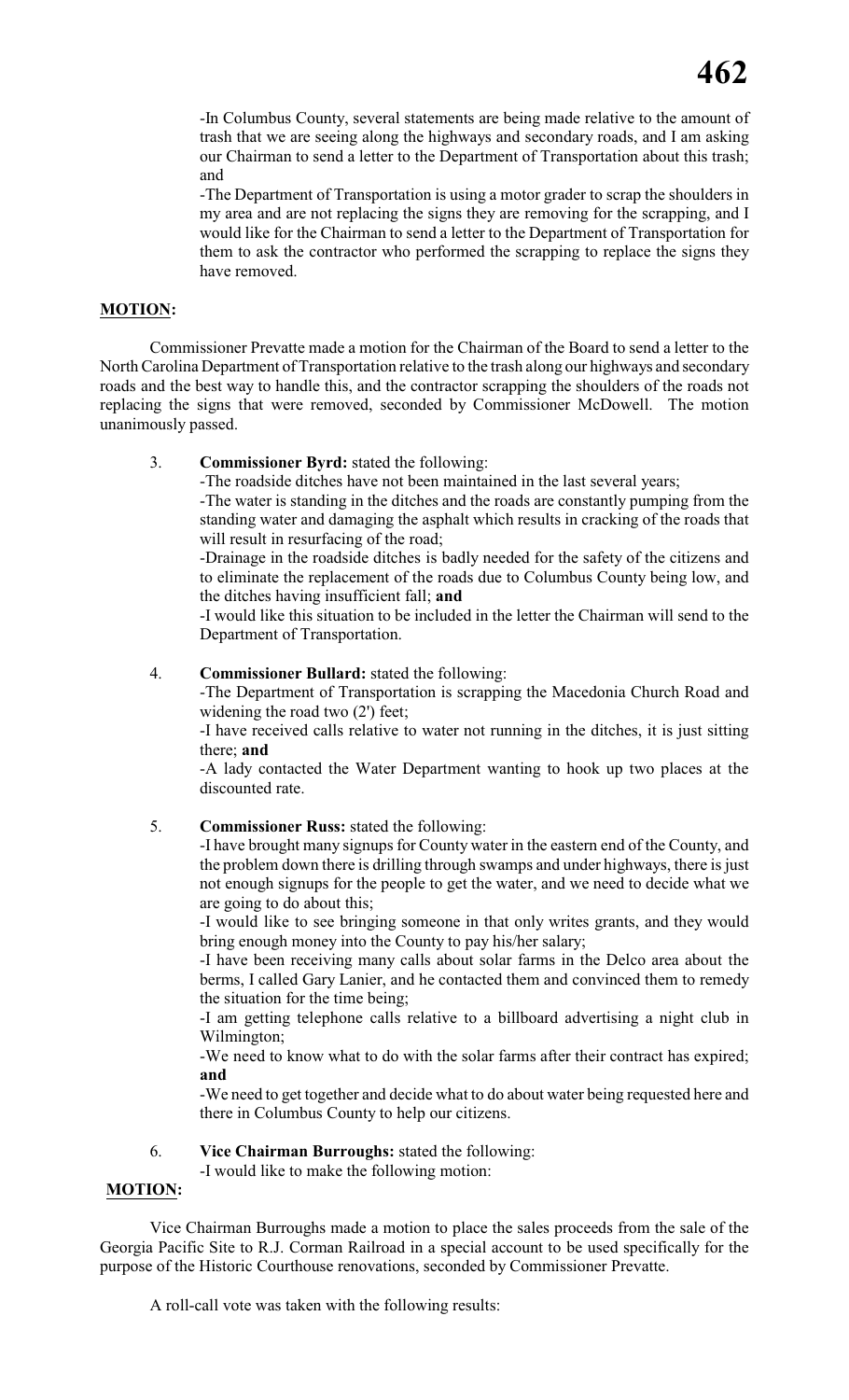-In Columbus County, several statements are being made relative to the amount of trash that we are seeing along the highways and secondary roads, and I am asking our Chairman to send a letter to the Department of Transportation about this trash; and

-The Department of Transportation is using a motor grader to scrap the shoulders in my area and are not replacing the signs they are removing for the scrapping, and I would like for the Chairman to send a letter to the Department of Transportation for them to ask the contractor who performed the scrapping to replace the signs they have removed.

# **MOTION:**

Commissioner Prevatte made a motion for the Chairman of the Board to send a letter to the North Carolina Department of Transportation relative to the trash along our highways and secondary roads and the best way to handle this, and the contractor scrapping the shoulders of the roads not replacing the signs that were removed, seconded by Commissioner McDowell. The motion unanimously passed.

#### 3. **Commissioner Byrd:** stated the following:

-The roadside ditches have not been maintained in the last several years;

-The water is standing in the ditches and the roads are constantly pumping from the standing water and damaging the asphalt which results in cracking of the roads that will result in resurfacing of the road;

-Drainage in the roadside ditches is badly needed for the safety of the citizens and to eliminate the replacement of the roads due to Columbus County being low, and the ditches having insufficient fall; **and**

-I would like this situation to be included in the letter the Chairman will send to the Department of Transportation.

#### 4. **Commissioner Bullard:** stated the following:

-The Department of Transportation is scrapping the Macedonia Church Road and widening the road two (2') feet;

-I have received calls relative to water not running in the ditches, it is just sitting there; **and**

-A lady contacted the Water Department wanting to hook up two places at the discounted rate.

### 5. **Commissioner Russ:** stated the following:

-I have brought many signups for County water in the eastern end of the County, and the problem down there is drilling through swamps and under highways, there is just not enough signups for the people to get the water, and we need to decide what we are going to do about this;

-I would like to see bringing someone in that only writes grants, and they would bring enough money into the County to pay his/her salary;

-I have been receiving many calls about solar farms in the Delco area about the berms, I called Gary Lanier, and he contacted them and convinced them to remedy the situation for the time being;

-I am getting telephone calls relative to a billboard advertising a night club in Wilmington;

-We need to know what to do with the solar farms after their contract has expired; **and**

-We need to get together and decide what to do about water being requested here and there in Columbus County to help our citizens.

#### 6. **Vice Chairman Burroughs:** stated the following:

-I would like to make the following motion:

### **MOTION:**

Vice Chairman Burroughs made a motion to place the sales proceeds from the sale of the Georgia Pacific Site to R.J. Corman Railroad in a special account to be used specifically for the purpose of the Historic Courthouse renovations, seconded by Commissioner Prevatte.

A roll-call vote was taken with the following results: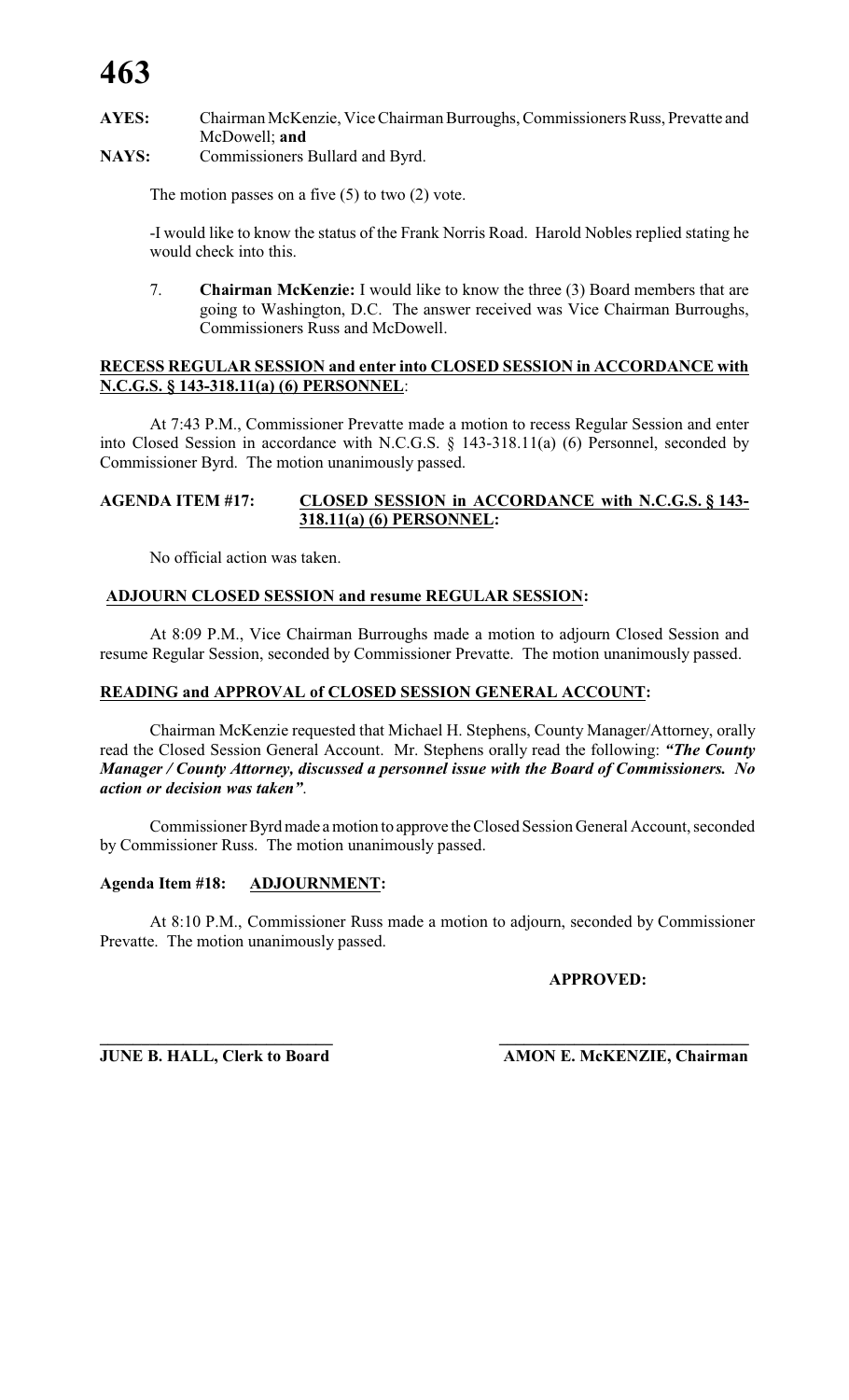# **AYES:** Chairman McKenzie, Vice Chairman Burroughs, Commissioners Russ, Prevatte and McDowell; **and**

**NAYS:** Commissioners Bullard and Byrd.

The motion passes on a five  $(5)$  to two  $(2)$  vote.

-I would like to know the status of the Frank Norris Road. Harold Nobles replied stating he would check into this.

7. **Chairman McKenzie:** I would like to know the three (3) Board members that are going to Washington, D.C. The answer received was Vice Chairman Burroughs, Commissioners Russ and McDowell.

# **RECESS REGULAR SESSION and enter into CLOSED SESSION in ACCORDANCE with N.C.G.S. § 143-318.11(a) (6) PERSONNEL**:

At 7:43 P.M., Commissioner Prevatte made a motion to recess Regular Session and enter into Closed Session in accordance with N.C.G.S. § 143-318.11(a) (6) Personnel, seconded by Commissioner Byrd. The motion unanimously passed.

# **AGENDA ITEM #17: CLOSED SESSION in ACCORDANCE with N.C.G.S. § 143- 318.11(a) (6) PERSONNEL:**

No official action was taken.

# **ADJOURN CLOSED SESSION and resume REGULAR SESSION:**

At 8:09 P.M., Vice Chairman Burroughs made a motion to adjourn Closed Session and resume Regular Session, seconded by Commissioner Prevatte. The motion unanimously passed.

# **READING and APPROVAL of CLOSED SESSION GENERAL ACCOUNT:**

Chairman McKenzie requested that Michael H. Stephens, County Manager/Attorney, orally read the Closed Session General Account. Mr. Stephens orally read the following: *"The County Manager / County Attorney, discussed a personnel issue with the Board of Commissioners. No action or decision was taken"*.

Commissioner Byrd made a motion to approve the Closed Session General Account, seconded by Commissioner Russ. The motion unanimously passed.

### **Agenda Item #18: ADJOURNMENT:**

At 8:10 P.M., Commissioner Russ made a motion to adjourn, seconded by Commissioner Prevatte. The motion unanimously passed.

**\_\_\_\_\_\_\_\_\_\_\_\_\_\_\_\_\_\_\_\_\_\_\_\_\_\_\_\_ \_\_\_\_\_\_\_\_\_\_\_\_\_\_\_\_\_\_\_\_\_\_\_\_\_\_\_\_\_\_**

### **APPROVED:**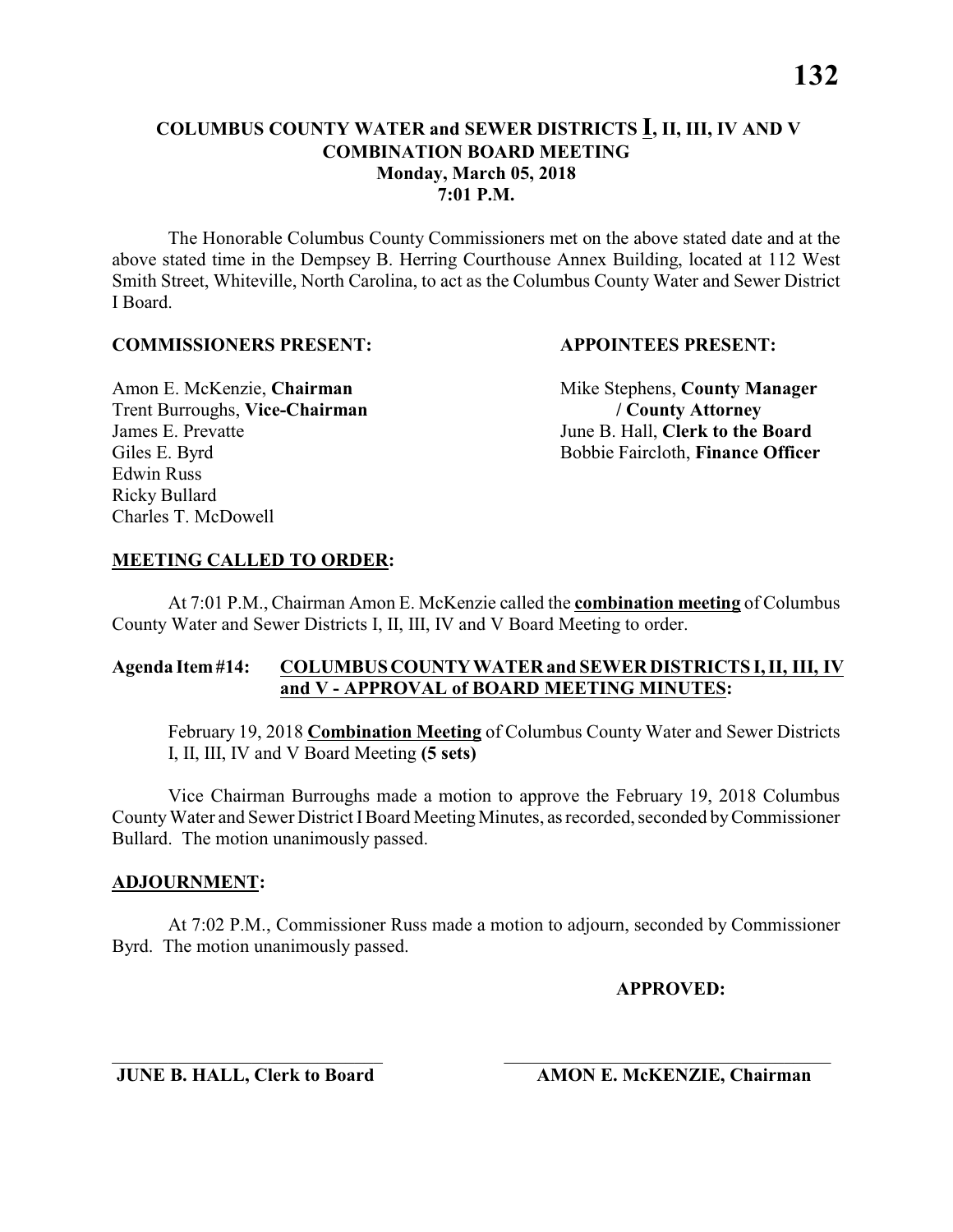# **COLUMBUS COUNTY WATER and SEWER DISTRICTS I, II, III, IV AND V COMBINATION BOARD MEETING Monday, March 05, 2018 7:01 P.M.**

The Honorable Columbus County Commissioners met on the above stated date and at the above stated time in the Dempsey B. Herring Courthouse Annex Building, located at 112 West Smith Street, Whiteville, North Carolina, to act as the Columbus County Water and Sewer District I Board.

#### **COMMISSIONERS PRESENT: APPOINTEES PRESENT:**

Trent Burroughs, **Vice-Chairman / County Attorney** James E. Prevatte June B. Hall, **Clerk to the Board** Edwin Russ Ricky Bullard Charles T. McDowell

Amon E. McKenzie, **Chairman** Mike Stephens, **County Manager** Giles E. Byrd Bobbie Faircloth, **Finance Officer** 

#### **MEETING CALLED TO ORDER:**

At 7:01 P.M., Chairman Amon E. McKenzie called the **combination meeting** of Columbus County Water and Sewer Districts I, II, III, IV and V Board Meeting to order.

#### **Agenda Item #14: COLUMBUS COUNTY WATER and SEWER DISTRICTS I, II, III, IV and V - APPROVAL of BOARD MEETING MINUTES:**

February 19, 2018 **Combination Meeting** of Columbus County Water and Sewer Districts I, II, III, IV and V Board Meeting **(5 sets)**

Vice Chairman Burroughs made a motion to approve the February 19, 2018 Columbus County Water and Sewer District I Board Meeting Minutes, as recorded, seconded by Commissioner Bullard. The motion unanimously passed.

#### **ADJOURNMENT:**

At 7:02 P.M., Commissioner Russ made a motion to adjourn, seconded by Commissioner Byrd. The motion unanimously passed.

\_\_\_\_\_\_\_\_\_\_\_\_\_\_\_\_\_\_\_\_\_\_\_\_\_\_\_\_\_ \_\_\_\_\_\_\_\_\_\_\_\_\_\_\_\_\_\_\_\_\_\_\_\_\_\_\_\_\_\_\_\_\_\_\_

**APPROVED:**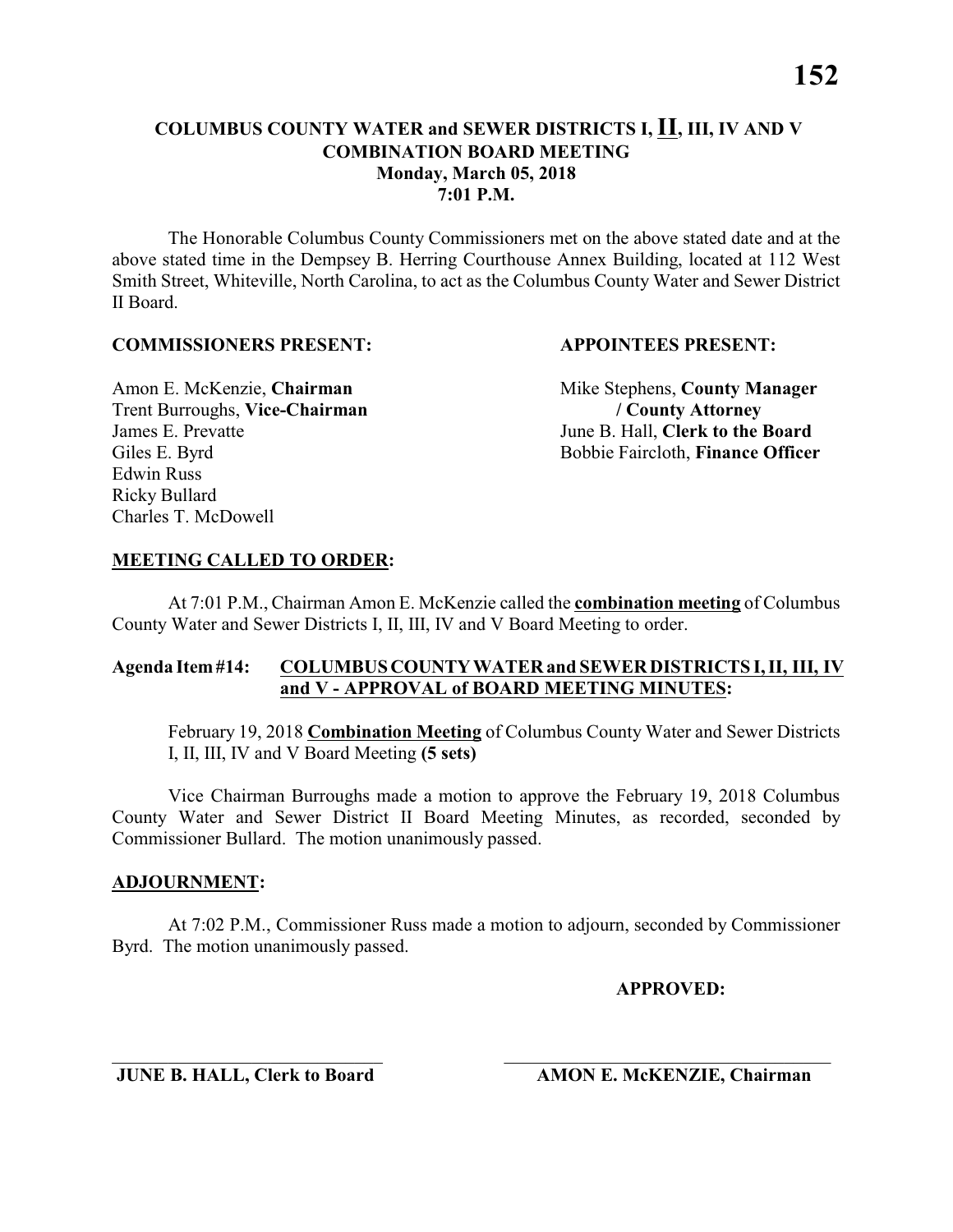# **COLUMBUS COUNTY WATER and SEWER DISTRICTS I, II, III, IV AND V COMBINATION BOARD MEETING Monday, March 05, 2018 7:01 P.M.**

The Honorable Columbus County Commissioners met on the above stated date and at the above stated time in the Dempsey B. Herring Courthouse Annex Building, located at 112 West Smith Street, Whiteville, North Carolina, to act as the Columbus County Water and Sewer District II Board.

#### **COMMISSIONERS PRESENT: APPOINTEES PRESENT:**

Trent Burroughs, **Vice-Chairman / County Attorney** James E. Prevatte June B. Hall, **Clerk to the Board** Edwin Russ Ricky Bullard Charles T. McDowell

Amon E. McKenzie, **Chairman** Mike Stephens, **County Manager** Giles E. Byrd Bobbie Faircloth, **Finance Officer** 

#### **MEETING CALLED TO ORDER:**

At 7:01 P.M., Chairman Amon E. McKenzie called the **combination meeting** of Columbus County Water and Sewer Districts I, II, III, IV and V Board Meeting to order.

#### **Agenda Item #14: COLUMBUS COUNTY WATER and SEWER DISTRICTS I, II, III, IV and V - APPROVAL of BOARD MEETING MINUTES:**

February 19, 2018 **Combination Meeting** of Columbus County Water and Sewer Districts I, II, III, IV and V Board Meeting **(5 sets)**

Vice Chairman Burroughs made a motion to approve the February 19, 2018 Columbus County Water and Sewer District II Board Meeting Minutes, as recorded, seconded by Commissioner Bullard. The motion unanimously passed.

#### **ADJOURNMENT:**

At 7:02 P.M., Commissioner Russ made a motion to adjourn, seconded by Commissioner Byrd. The motion unanimously passed.

\_\_\_\_\_\_\_\_\_\_\_\_\_\_\_\_\_\_\_\_\_\_\_\_\_\_\_\_\_ \_\_\_\_\_\_\_\_\_\_\_\_\_\_\_\_\_\_\_\_\_\_\_\_\_\_\_\_\_\_\_\_\_\_\_

**APPROVED:**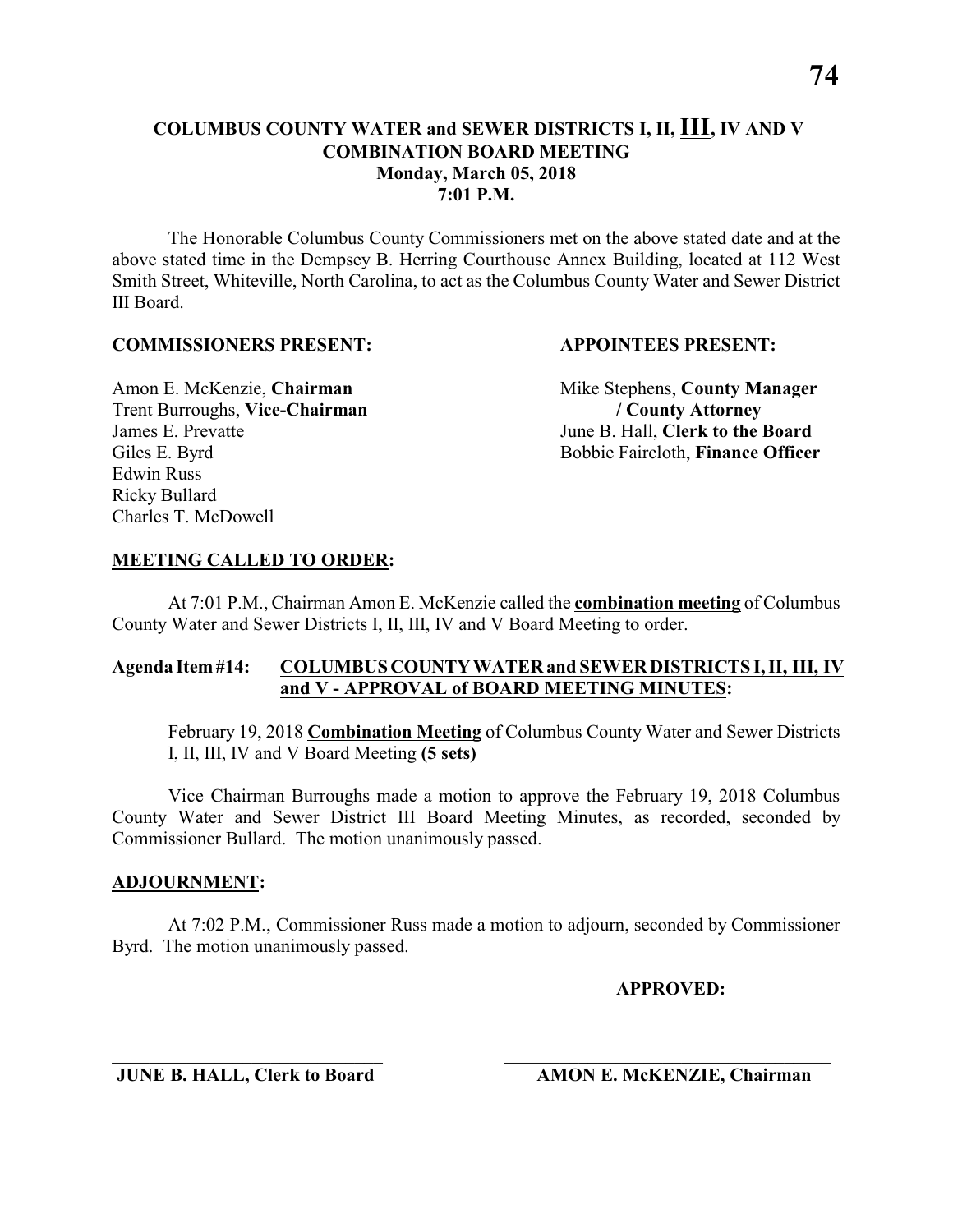## **COLUMBUS COUNTY WATER and SEWER DISTRICTS I, II, III, IV AND V COMBINATION BOARD MEETING Monday, March 05, 2018 7:01 P.M.**

The Honorable Columbus County Commissioners met on the above stated date and at the above stated time in the Dempsey B. Herring Courthouse Annex Building, located at 112 West Smith Street, Whiteville, North Carolina, to act as the Columbus County Water and Sewer District III Board.

#### **COMMISSIONERS PRESENT: APPOINTEES PRESENT:**

Trent Burroughs, **Vice-Chairman / County Attorney** James E. Prevatte June B. Hall, **Clerk to the Board** Edwin Russ Ricky Bullard Charles T. McDowell

Amon E. McKenzie, **Chairman** Mike Stephens, **County Manager** Giles E. Byrd Bobbie Faircloth, **Finance Officer** 

#### **MEETING CALLED TO ORDER:**

At 7:01 P.M., Chairman Amon E. McKenzie called the **combination meeting** of Columbus County Water and Sewer Districts I, II, III, IV and V Board Meeting to order.

#### **Agenda Item #14: COLUMBUS COUNTY WATER and SEWER DISTRICTS I, II, III, IV and V - APPROVAL of BOARD MEETING MINUTES:**

February 19, 2018 **Combination Meeting** of Columbus County Water and Sewer Districts I, II, III, IV and V Board Meeting **(5 sets)**

Vice Chairman Burroughs made a motion to approve the February 19, 2018 Columbus County Water and Sewer District III Board Meeting Minutes, as recorded, seconded by Commissioner Bullard. The motion unanimously passed.

#### **ADJOURNMENT:**

At 7:02 P.M., Commissioner Russ made a motion to adjourn, seconded by Commissioner Byrd. The motion unanimously passed.

\_\_\_\_\_\_\_\_\_\_\_\_\_\_\_\_\_\_\_\_\_\_\_\_\_\_\_\_\_ \_\_\_\_\_\_\_\_\_\_\_\_\_\_\_\_\_\_\_\_\_\_\_\_\_\_\_\_\_\_\_\_\_\_\_

**APPROVED:**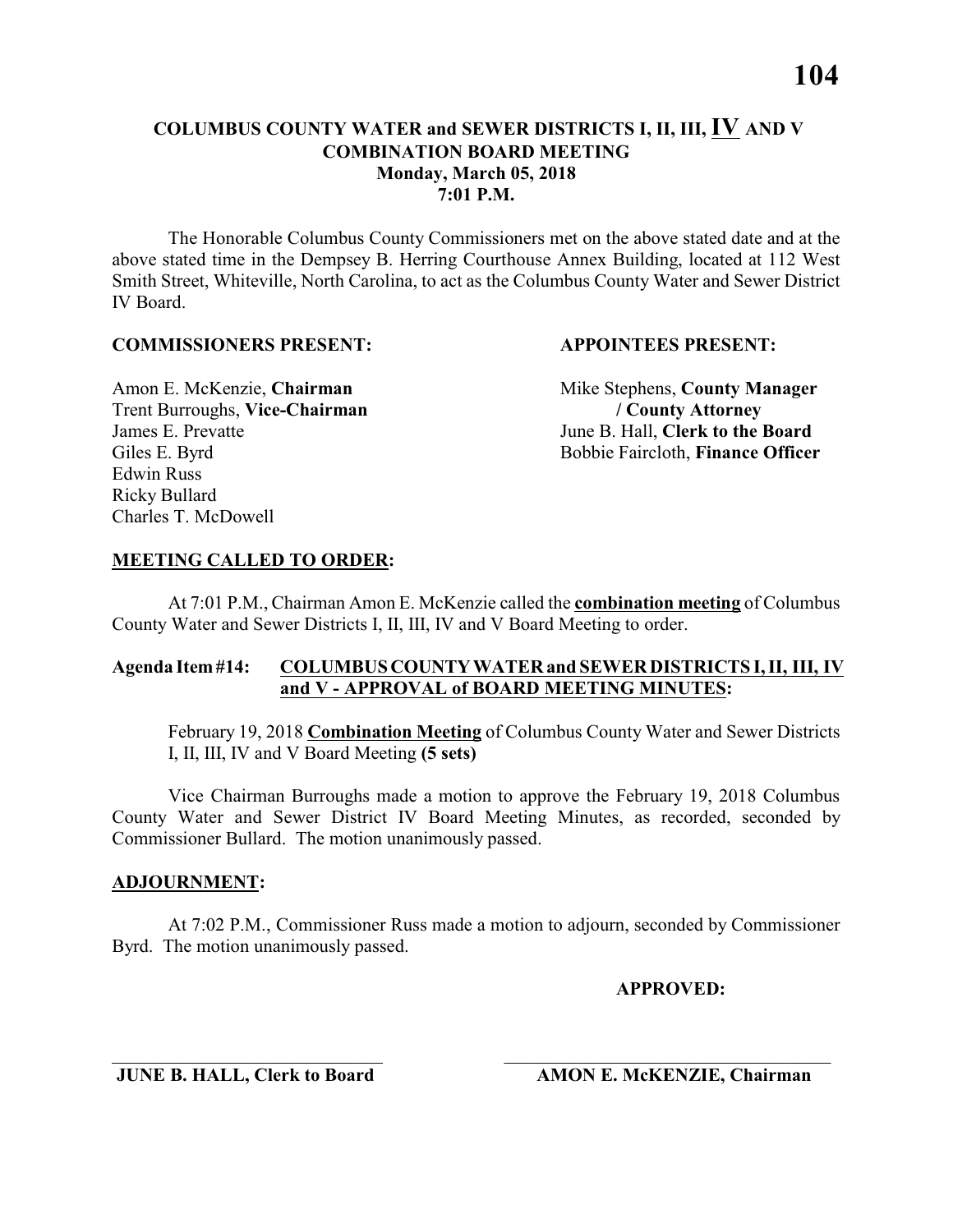**7:01 P.M.**

The Honorable Columbus County Commissioners met on the above stated date and at the above stated time in the Dempsey B. Herring Courthouse Annex Building, located at 112 West Smith Street, Whiteville, North Carolina, to act as the Columbus County Water and Sewer District IV Board.

#### **COMMISSIONERS PRESENT: APPOINTEES PRESENT:**

Trent Burroughs, **Vice-Chairman / County Attorney** James E. Prevatte June B. Hall, **Clerk to the Board** Edwin Russ Ricky Bullard Charles T. McDowell

Amon E. McKenzie, **Chairman** Mike Stephens, **County Manager** Giles E. Byrd Bobbie Faircloth, **Finance Officer** 

#### **MEETING CALLED TO ORDER:**

At 7:01 P.M., Chairman Amon E. McKenzie called the **combination meeting** of Columbus County Water and Sewer Districts I, II, III, IV and V Board Meeting to order.

#### **Agenda Item #14: COLUMBUS COUNTY WATER and SEWER DISTRICTS I, II, III, IV and V - APPROVAL of BOARD MEETING MINUTES:**

February 19, 2018 **Combination Meeting** of Columbus County Water and Sewer Districts I, II, III, IV and V Board Meeting **(5 sets)**

Vice Chairman Burroughs made a motion to approve the February 19, 2018 Columbus County Water and Sewer District IV Board Meeting Minutes, as recorded, seconded by Commissioner Bullard. The motion unanimously passed.

#### **ADJOURNMENT:**

At 7:02 P.M., Commissioner Russ made a motion to adjourn, seconded by Commissioner Byrd. The motion unanimously passed.

\_\_\_\_\_\_\_\_\_\_\_\_\_\_\_\_\_\_\_\_\_\_\_\_\_\_\_\_\_ \_\_\_\_\_\_\_\_\_\_\_\_\_\_\_\_\_\_\_\_\_\_\_\_\_\_\_\_\_\_\_\_\_\_\_

**APPROVED:**